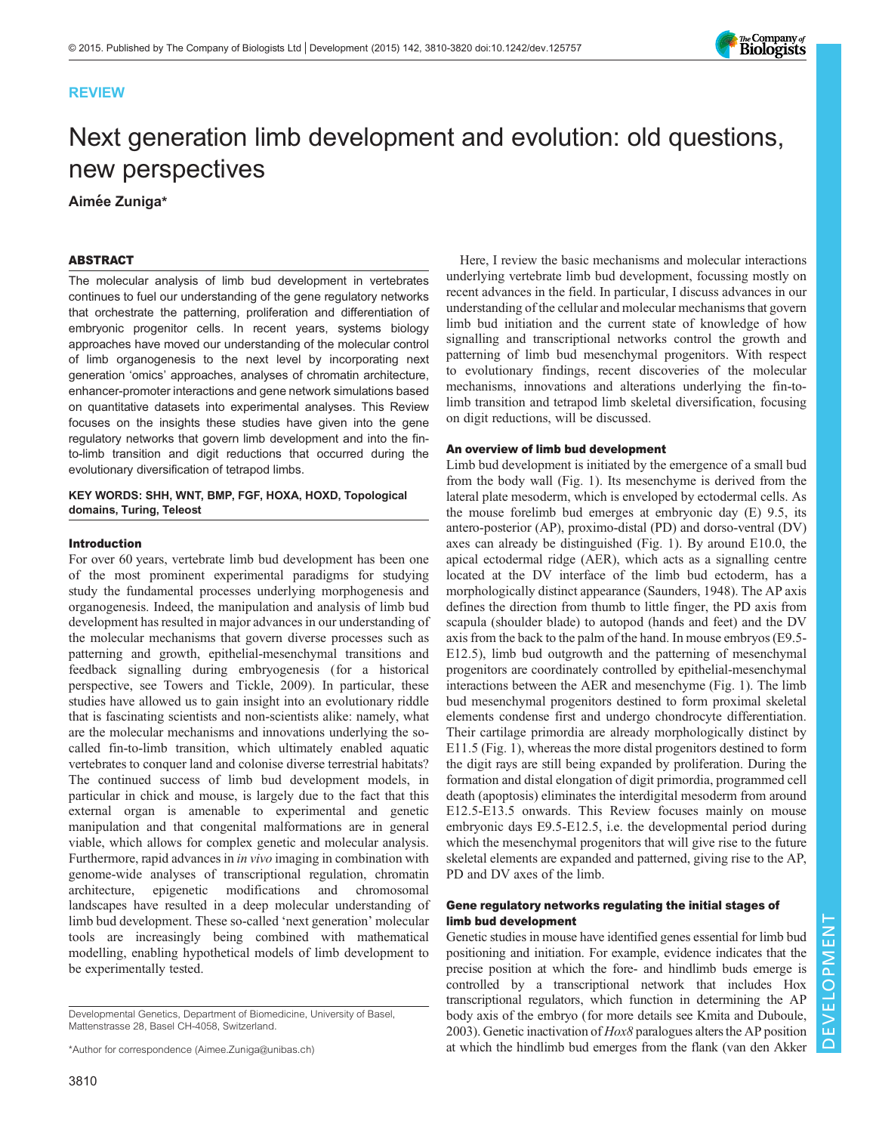## REVIEW

# Next generation limb development and evolution: old questions, new perspectives

Aimée Zuniga\*

## ABSTRACT

The molecular analysis of limb bud development in vertebrates continues to fuel our understanding of the gene regulatory networks that orchestrate the patterning, proliferation and differentiation of embryonic progenitor cells. In recent years, systems biology approaches have moved our understanding of the molecular control of limb organogenesis to the next level by incorporating next generation 'omics' approaches, analyses of chromatin architecture, enhancer-promoter interactions and gene network simulations based on quantitative datasets into experimental analyses. This Review focuses on the insights these studies have given into the gene regulatory networks that govern limb development and into the finto-limb transition and digit reductions that occurred during the evolutionary diversification of tetrapod limbs.

## KEY WORDS: SHH, WNT, BMP, FGF, HOXA, HOXD, Topological domains, Turing, Teleost

### Introduction

For over 60 years, vertebrate limb bud development has been one of the most prominent experimental paradigms for studying study the fundamental processes underlying morphogenesis and organogenesis. Indeed, the manipulation and analysis of limb bud development has resulted in major advances in our understanding of the molecular mechanisms that govern diverse processes such as patterning and growth, epithelial-mesenchymal transitions and feedback signalling during embryogenesis (for a historical perspective, see [Towers and Tickle, 2009](#page-10-0)). In particular, these studies have allowed us to gain insight into an evolutionary riddle that is fascinating scientists and non-scientists alike: namely, what are the molecular mechanisms and innovations underlying the socalled fin-to-limb transition, which ultimately enabled aquatic vertebrates to conquer land and colonise diverse terrestrial habitats? The continued success of limb bud development models, in particular in chick and mouse, is largely due to the fact that this external organ is amenable to experimental and genetic manipulation and that congenital malformations are in general viable, which allows for complex genetic and molecular analysis. Furthermore, rapid advances in in vivo imaging in combination with genome-wide analyses of transcriptional regulation, chromatin architecture, epigenetic modifications and chromosomal landscapes have resulted in a deep molecular understanding of limb bud development. These so-called 'next generation' molecular tools are increasingly being combined with mathematical modelling, enabling hypothetical models of limb development to be experimentally tested.

\*Author for correspondence [\(Aimee.Zuniga@unibas.ch\)](mailto:Aimee.Zuniga@unibas.ch)

Here, I review the basic mechanisms and molecular interactions underlying vertebrate limb bud development, focussing mostly on recent advances in the field. In particular, I discuss advances in our understanding of the cellular and molecular mechanisms that govern limb bud initiation and the current state of knowledge of how signalling and transcriptional networks control the growth and patterning of limb bud mesenchymal progenitors. With respect to evolutionary findings, recent discoveries of the molecular mechanisms, innovations and alterations underlying the fin-tolimb transition and tetrapod limb skeletal diversification, focusing on digit reductions, will be discussed.

## An overview of limb bud development

Limb bud development is initiated by the emergence of a small bud from the body wall ([Fig. 1](#page-1-0)). Its mesenchyme is derived from the lateral plate mesoderm, which is enveloped by ectodermal cells. As the mouse forelimb bud emerges at embryonic day (E) 9.5, its antero-posterior (AP), proximo-distal (PD) and dorso-ventral (DV) axes can already be distinguished [\(Fig. 1\)](#page-1-0). By around E10.0, the apical ectodermal ridge (AER), which acts as a signalling centre located at the DV interface of the limb bud ectoderm, has a morphologically distinct appearance ([Saunders, 1948\)](#page-10-0). The AP axis defines the direction from thumb to little finger, the PD axis from scapula (shoulder blade) to autopod (hands and feet) and the DV axis from the back to the palm of the hand. In mouse embryos (E9.5- E12.5), limb bud outgrowth and the patterning of mesenchymal progenitors are coordinately controlled by epithelial-mesenchymal interactions between the AER and mesenchyme ([Fig. 1](#page-1-0)). The limb bud mesenchymal progenitors destined to form proximal skeletal elements condense first and undergo chondrocyte differentiation. Their cartilage primordia are already morphologically distinct by E11.5 ([Fig. 1](#page-1-0)), whereas the more distal progenitors destined to form the digit rays are still being expanded by proliferation. During the formation and distal elongation of digit primordia, programmed cell death (apoptosis) eliminates the interdigital mesoderm from around E12.5-E13.5 onwards. This Review focuses mainly on mouse embryonic days E9.5-E12.5, i.e. the developmental period during which the mesenchymal progenitors that will give rise to the future skeletal elements are expanded and patterned, giving rise to the AP, PD and DV axes of the limb.

## Gene regulatory networks regulating the initial stages of limb bud development

Genetic studies in mouse have identified genes essential for limb bud positioning and initiation. For example, evidence indicates that the precise position at which the fore- and hindlimb buds emerge is controlled by a transcriptional network that includes Hox transcriptional regulators, which function in determining the AP body axis of the embryo (for more details see [Kmita and Duboule,](#page-9-0) [2003\)](#page-9-0). Genetic inactivation of Hox8 paralogues alters the AP position at which the hindlimb bud emerges from the flank [\(van den Akker](#page-10-0)



Developmental Genetics, Department of Biomedicine, University of Basel, Mattenstrasse 28, Basel CH-4058, Switzerland.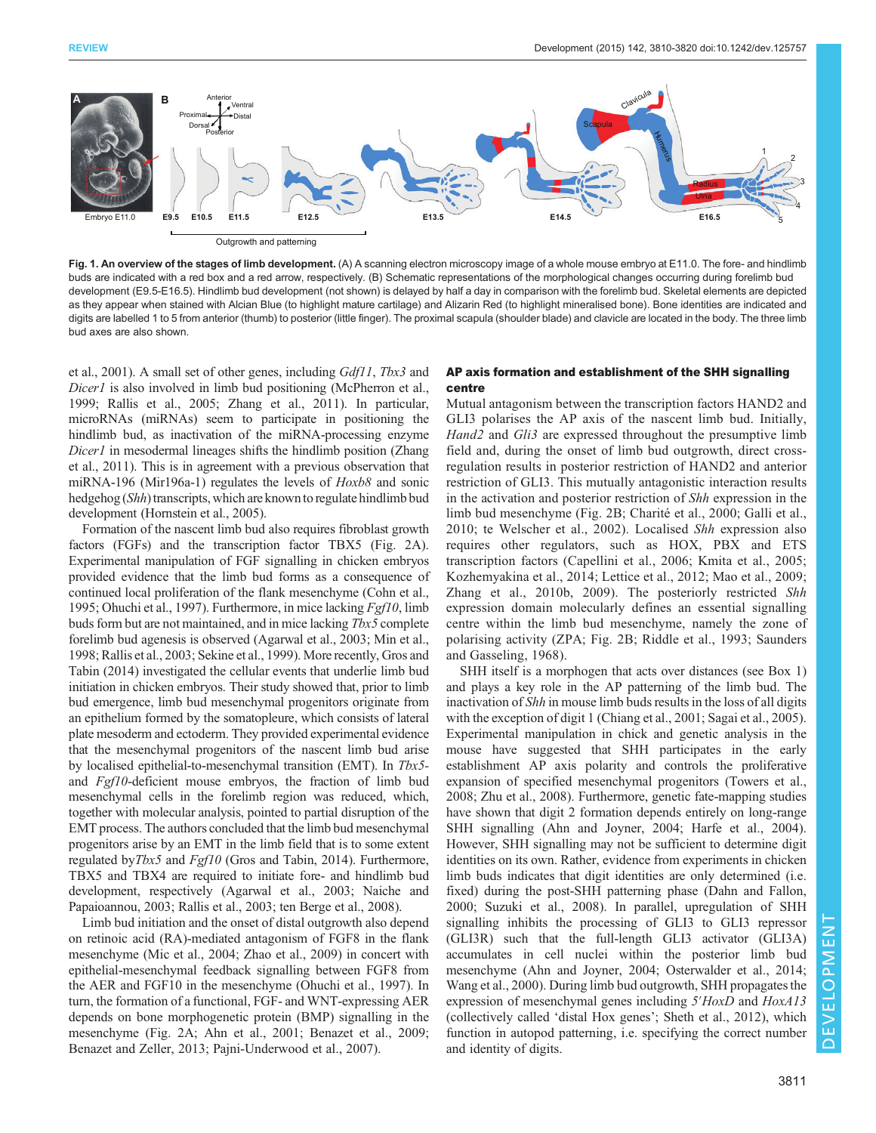<span id="page-1-0"></span>

Fig. 1. An overview of the stages of limb development. (A) A scanning electron microscopy image of a whole mouse embryo at E11.0. The fore- and hindlimb buds are indicated with a red box and a red arrow, respectively. (B) Schematic representations of the morphological changes occurring during forelimb bud development (E9.5-E16.5). Hindlimb bud development (not shown) is delayed by half a day in comparison with the forelimb bud. Skeletal elements are depicted as they appear when stained with Alcian Blue (to highlight mature cartilage) and Alizarin Red (to highlight mineralised bone). Bone identities are indicated and digits are labelled 1 to 5 from anterior (thumb) to posterior (little finger). The proximal scapula (shoulder blade) and clavicle are located in the body. The three limb bud axes are also shown.

[et al., 2001\)](#page-10-0). A small set of other genes, including Gdf11, Tbx3 and Dicer1 is also involved in limb bud positioning [\(McPherron et al.,](#page-9-0) [1999;](#page-9-0) [Rallis et al., 2005; Zhang et al., 2011\)](#page-10-0). In particular, microRNAs (miRNAs) seem to participate in positioning the hindlimb bud, as inactivation of the miRNA-processing enzyme Dicer1 in mesodermal lineages shifts the hindlimb position [\(Zhang](#page-10-0) [et al., 2011\)](#page-10-0). This is in agreement with a previous observation that miRNA-196 (Mir196a-1) regulates the levels of *Hoxb8* and sonic hedgehog (Shh) transcripts, which are known to regulate hindlimb bud development [\(Hornstein et al., 2005](#page-9-0)).

Formation of the nascent limb bud also requires fibroblast growth factors (FGFs) and the transcription factor TBX5 [\(Fig. 2A](#page-2-0)). Experimental manipulation of FGF signalling in chicken embryos provided evidence that the limb bud forms as a consequence of continued local proliferation of the flank mesenchyme ([Cohn et al.,](#page-8-0) [1995;](#page-8-0) [Ohuchi et al., 1997](#page-9-0)). Furthermore, in mice lacking Fgf10, limb buds form but are not maintained, and in mice lacking Tbx5 complete forelimb bud agenesis is observed [\(Agarwal et al., 2003](#page-8-0); [Min et al.,](#page-9-0) [1998;](#page-9-0) [Rallis et al., 2003](#page-10-0); [Sekine et al., 1999](#page-10-0)). More recently, [Gros and](#page-9-0) [Tabin \(2014\)](#page-9-0) investigated the cellular events that underlie limb bud initiation in chicken embryos. Their study showed that, prior to limb bud emergence, limb bud mesenchymal progenitors originate from an epithelium formed by the somatopleure, which consists of lateral plate mesoderm and ectoderm. They provided experimental evidence that the mesenchymal progenitors of the nascent limb bud arise by localised epithelial-to-mesenchymal transition (EMT). In Tbx5 and Fgf10-deficient mouse embryos, the fraction of limb bud mesenchymal cells in the forelimb region was reduced, which, together with molecular analysis, pointed to partial disruption of the EMT process. The authors concluded that the limb bud mesenchymal progenitors arise by an EMT in the limb field that is to some extent regulated by*Tbx5* and *Fgf10* ([Gros and Tabin, 2014](#page-9-0)). Furthermore, TBX5 and TBX4 are required to initiate fore- and hindlimb bud development, respectively ([Agarwal et al., 2003](#page-8-0); [Naiche and](#page-9-0) [Papaioannou, 2003;](#page-9-0) [Rallis et al., 2003](#page-10-0); [ten Berge et al., 2008\)](#page-10-0).

Limb bud initiation and the onset of distal outgrowth also depend on retinoic acid (RA)-mediated antagonism of FGF8 in the flank mesenchyme [\(Mic et al., 2004;](#page-9-0) [Zhao et al., 2009](#page-10-0)) in concert with epithelial-mesenchymal feedback signalling between FGF8 from the AER and FGF10 in the mesenchyme [\(Ohuchi et al., 1997\)](#page-9-0). In turn, the formation of a functional, FGF- and WNT-expressing AER depends on bone morphogenetic protein (BMP) signalling in the mesenchyme ([Fig. 2A](#page-2-0); [Ahn et al., 2001; Benazet et al., 2009](#page-8-0); [Benazet and Zeller, 2013;](#page-8-0) [Pajni-Underwood et al., 2007](#page-9-0)).

## AP axis formation and establishment of the SHH signalling centre

Mutual antagonism between the transcription factors HAND2 and GLI3 polarises the AP axis of the nascent limb bud. Initially, Hand2 and Gli3 are expressed throughout the presumptive limb field and, during the onset of limb bud outgrowth, direct crossregulation results in posterior restriction of HAND2 and anterior restriction of GLI3. This mutually antagonistic interaction results in the activation and posterior restriction of Shh expression in the limb bud mesenchyme ([Fig. 2B](#page-2-0); [Charité et al., 2000](#page-8-0); [Galli et al.,](#page-9-0) [2010](#page-9-0); [te Welscher et al., 2002](#page-10-0)). Localised Shh expression also requires other regulators, such as HOX, PBX and ETS transcription factors ([Capellini et al., 2006;](#page-8-0) [Kmita et al., 2005](#page-9-0); [Kozhemyakina et al., 2014; Lettice et al., 2012](#page-9-0); [Mao et al., 2009](#page-9-0); [Zhang et al., 2010b, 2009\)](#page-10-0). The posteriorly restricted Shh expression domain molecularly defines an essential signalling centre within the limb bud mesenchyme, namely the zone of polarising activity (ZPA; [Fig. 2](#page-2-0)B; [Riddle et al., 1993; Saunders](#page-10-0) [and Gasseling, 1968](#page-10-0)).

SHH itself is a morphogen that acts over distances (see [Box 1\)](#page-2-0) and plays a key role in the AP patterning of the limb bud. The inactivation of Shh in mouse limb buds results in the loss of all digits with the exception of digit 1 [\(Chiang et al., 2001;](#page-8-0) [Sagai et al., 2005\)](#page-10-0). Experimental manipulation in chick and genetic analysis in the mouse have suggested that SHH participates in the early establishment AP axis polarity and controls the proliferative expansion of specified mesenchymal progenitors ([Towers et al.,](#page-10-0) [2008; Zhu et al., 2008](#page-10-0)). Furthermore, genetic fate-mapping studies have shown that digit 2 formation depends entirely on long-range SHH signalling [\(Ahn and Joyner, 2004](#page-8-0); [Harfe et al., 2004\)](#page-9-0). However, SHH signalling may not be sufficient to determine digit identities on its own. Rather, evidence from experiments in chicken limb buds indicates that digit identities are only determined (i.e. fixed) during the post-SHH patterning phase [\(Dahn and Fallon,](#page-9-0) [2000;](#page-9-0) [Suzuki et al., 2008](#page-10-0)). In parallel, upregulation of SHH signalling inhibits the processing of GLI3 to GLI3 repressor (GLI3R) such that the full-length GLI3 activator (GLI3A) accumulates in cell nuclei within the posterior limb bud mesenchyme ([Ahn and Joyner, 2004;](#page-8-0) [Osterwalder et al., 2014](#page-9-0); [Wang et al., 2000\)](#page-10-0). During limb bud outgrowth, SHH propagates the expression of mesenchymal genes including  $5'$ HoxD and HoxA13 (collectively called 'distal Hox genes'; [Sheth et al., 2012](#page-10-0)), which function in autopod patterning, i.e. specifying the correct number and identity of digits.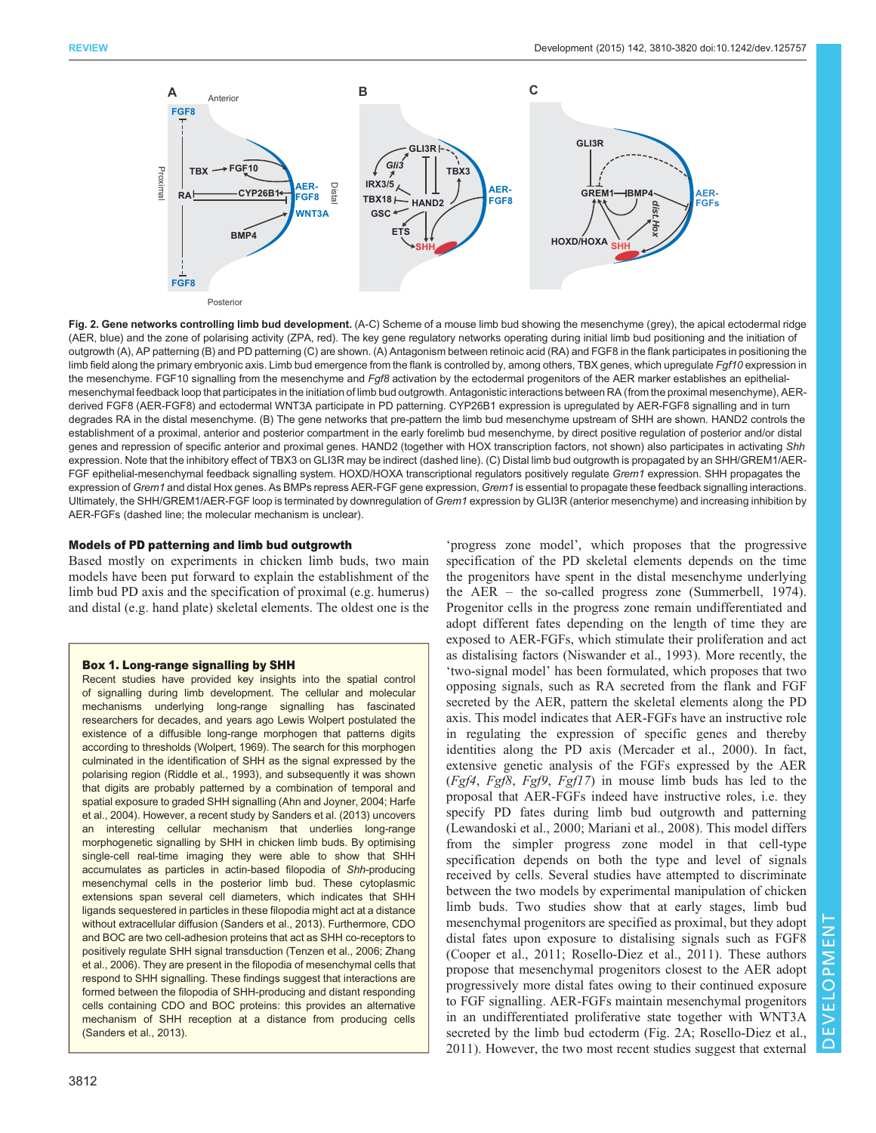<span id="page-2-0"></span>

Fig. 2. Gene networks controlling limb bud development. (A-C) Scheme of a mouse limb bud showing the mesenchyme (grey), the apical ectodermal ridge (AER, blue) and the zone of polarising activity (ZPA, red). The key gene regulatory networks operating during initial limb bud positioning and the initiation of outgrowth (A), AP patterning (B) and PD patterning (C) are shown. (A) Antagonism between retinoic acid (RA) and FGF8 in the flank participates in positioning the limb field along the primary embryonic axis. Limb bud emergence from the flank is controlled by, among others, TBX genes, which upregulate Fgf10 expression in the mesenchyme. FGF10 signalling from the mesenchyme and Fgf8 activation by the ectodermal progenitors of the AER marker establishes an epithelialmesenchymal feedback loop that participates in the initiation of limb bud outgrowth. Antagonistic interactions between RA (from the proximal mesenchyme), AERderived FGF8 (AER-FGF8) and ectodermal WNT3A participate in PD patterning. CYP26B1 expression is upregulated by AER-FGF8 signalling and in turn degrades RA in the distal mesenchyme. (B) The gene networks that pre-pattern the limb bud mesenchyme upstream of SHH are shown. HAND2 controls the establishment of a proximal, anterior and posterior compartment in the early forelimb bud mesenchyme, by direct positive regulation of posterior and/or distal genes and repression of specific anterior and proximal genes. HAND2 (together with HOX transcription factors, not shown) also participates in activating Shh expression. Note that the inhibitory effect of TBX3 on GLI3R may be indirect (dashed line). (C) Distal limb bud outgrowth is propagated by an SHH/GREM1/AER-FGF epithelial-mesenchymal feedback signalling system. HOXD/HOXA transcriptional regulators positively regulate Grem1 expression. SHH propagates the expression of Grem1 and distal Hox genes. As BMPs repress AER-FGF gene expression, Grem1 is essential to propagate these feedback signalling interactions. Ultimately, the SHH/GREM1/AER-FGF loop is terminated by downregulation of Grem1 expression by GLI3R (anterior mesenchyme) and increasing inhibition by AER-FGFs (dashed line; the molecular mechanism is unclear).

## Models of PD patterning and limb bud outgrowth

Based mostly on experiments in chicken limb buds, two main models have been put forward to explain the establishment of the limb bud PD axis and the specification of proximal (e.g. humerus) and distal (e.g. hand plate) skeletal elements. The oldest one is the

#### Box 1. Long-range signalling by SHH

Recent studies have provided key insights into the spatial control of signalling during limb development. The cellular and molecular mechanisms underlying long-range signalling has fascinated researchers for decades, and years ago Lewis Wolpert postulated the existence of a diffusible long-range morphogen that patterns digits according to thresholds [\(Wolpert, 1969\)](#page-10-0). The search for this morphogen culminated in the identification of SHH as the signal expressed by the polarising region [\(Riddle et al., 1993\)](#page-10-0), and subsequently it was shown that digits are probably patterned by a combination of temporal and spatial exposure to graded SHH signalling [\(Ahn and Joyner, 2004;](#page-8-0) [Harfe](#page-9-0) [et al., 2004\)](#page-9-0). However, a recent study by [Sanders et al. \(2013\)](#page-10-0) uncovers an interesting cellular mechanism that underlies long-range morphogenetic signalling by SHH in chicken limb buds. By optimising single-cell real-time imaging they were able to show that SHH accumulates as particles in actin-based filopodia of Shh-producing mesenchymal cells in the posterior limb bud. These cytoplasmic extensions span several cell diameters, which indicates that SHH ligands sequestered in particles in these filopodia might act at a distance without extracellular diffusion ([Sanders et al., 2013\)](#page-10-0). Furthermore, CDO and BOC are two cell-adhesion proteins that act as SHH co-receptors to positively regulate SHH signal transduction [\(Tenzen et al., 2006](#page-10-0); [Zhang](#page-10-0) [et al., 2006\)](#page-10-0). They are present in the filopodia of mesenchymal cells that respond to SHH signalling. These findings suggest that interactions are formed between the filopodia of SHH-producing and distant responding cells containing CDO and BOC proteins: this provides an alternative mechanism of SHH reception at a distance from producing cells ([Sanders et al., 2013\)](#page-10-0).

'progress zone model', which proposes that the progressive specification of the PD skeletal elements depends on the time the progenitors have spent in the distal mesenchyme underlying the AER – the so-called progress zone ([Summerbell, 1974](#page-10-0)). Progenitor cells in the progress zone remain undifferentiated and adopt different fates depending on the length of time they are exposed to AER-FGFs, which stimulate their proliferation and act as distalising factors ([Niswander et al., 1993\)](#page-9-0). More recently, the 'two-signal model' has been formulated, which proposes that two opposing signals, such as RA secreted from the flank and FGF secreted by the AER, pattern the skeletal elements along the PD axis. This model indicates that AER-FGFs have an instructive role in regulating the expression of specific genes and thereby identities along the PD axis [\(Mercader et al., 2000](#page-9-0)). In fact, extensive genetic analysis of the FGFs expressed by the AER  $(Fgf4, Fgf8, Fgf9, Fgf17)$  in mouse limb buds has led to the proposal that AER-FGFs indeed have instructive roles, i.e. they specify PD fates during limb bud outgrowth and patterning [\(Lewandoski et al., 2000](#page-9-0); [Mariani et al., 2008\)](#page-9-0). This model differs from the simpler progress zone model in that cell-type specification depends on both the type and level of signals received by cells. Several studies have attempted to discriminate between the two models by experimental manipulation of chicken limb buds. Two studies show that at early stages, limb bud mesenchymal progenitors are specified as proximal, but they adopt distal fates upon exposure to distalising signals such as FGF8 [\(Cooper et al., 2011;](#page-9-0) [Rosello-Diez et al., 2011\)](#page-10-0). These authors propose that mesenchymal progenitors closest to the AER adopt progressively more distal fates owing to their continued exposure to FGF signalling. AER-FGFs maintain mesenchymal progenitors in an undifferentiated proliferative state together with WNT3A secreted by the limb bud ectoderm (Fig. 2A; [Rosello-Diez et al.,](#page-10-0) [2011](#page-10-0)). However, the two most recent studies suggest that external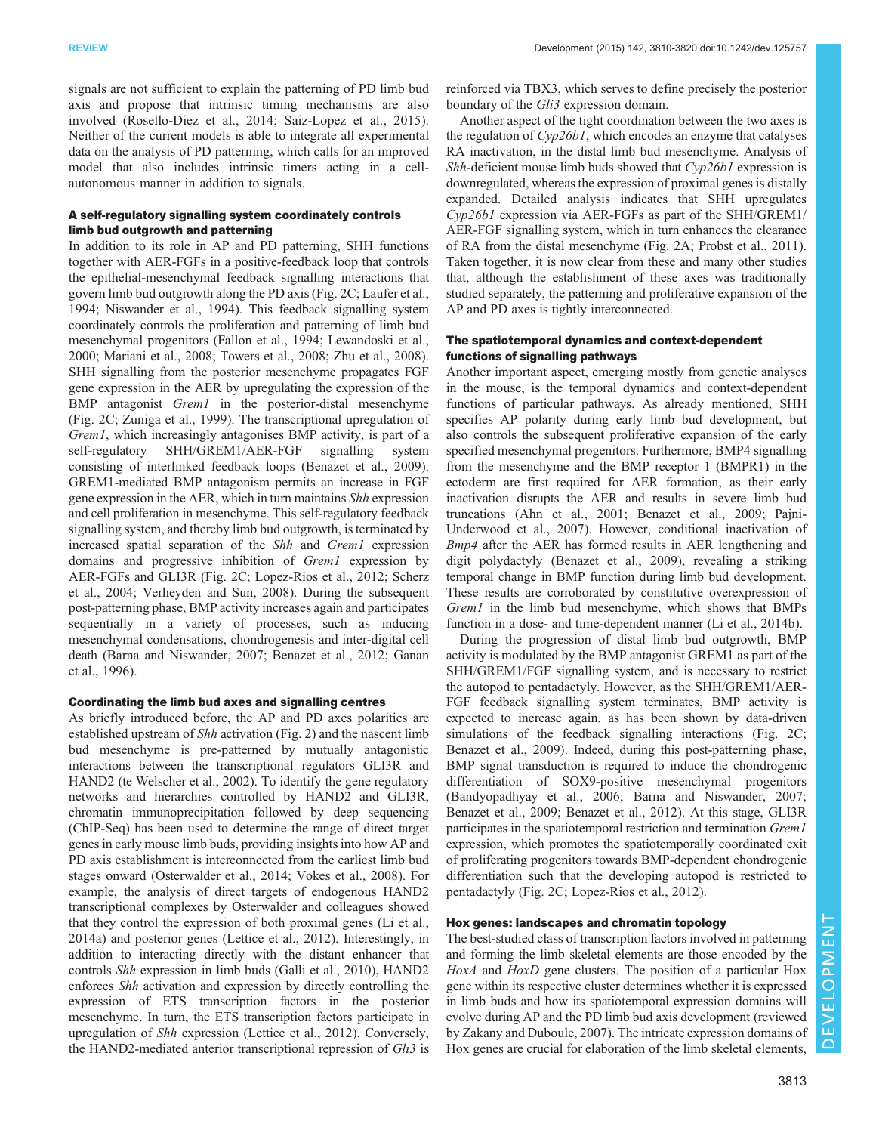signals are not sufficient to explain the patterning of PD limb bud axis and propose that intrinsic timing mechanisms are also involved [\(Rosello-Diez et al., 2014](#page-10-0); [Saiz-Lopez et al., 2015\)](#page-10-0). Neither of the current models is able to integrate all experimental data on the analysis of PD patterning, which calls for an improved model that also includes intrinsic timers acting in a cellautonomous manner in addition to signals.

## A self-regulatory signalling system coordinately controls limb bud outgrowth and patterning

In addition to its role in AP and PD patterning, SHH functions together with AER-FGFs in a positive-feedback loop that controls the epithelial-mesenchymal feedback signalling interactions that govern limb bud outgrowth along the PD axis [\(Fig. 2C](#page-2-0); [Laufer et al.,](#page-9-0) [1994](#page-9-0); [Niswander et al., 1994](#page-9-0)). This feedback signalling system coordinately controls the proliferation and patterning of limb bud mesenchymal progenitors [\(Fallon et al., 1994](#page-9-0); [Lewandoski et al.,](#page-9-0) [2000](#page-9-0); [Mariani et al., 2008](#page-9-0); [Towers et al., 2008; Zhu et al., 2008\)](#page-10-0). SHH signalling from the posterior mesenchyme propagates FGF gene expression in the AER by upregulating the expression of the BMP antagonist *Grem1* in the posterior-distal mesenchyme [\(Fig. 2C](#page-2-0); [Zuniga et al., 1999\)](#page-10-0). The transcriptional upregulation of Grem1, which increasingly antagonises BMP activity, is part of a self-regulatory SHH/GREM1/AER-FGF signalling system consisting of interlinked feedback loops ([Benazet et al., 2009\)](#page-8-0). GREM1-mediated BMP antagonism permits an increase in FGF gene expression in the AER, which in turn maintains Shh expression and cell proliferation in mesenchyme. This self-regulatory feedback signalling system, and thereby limb bud outgrowth, is terminated by increased spatial separation of the Shh and Grem1 expression domains and progressive inhibition of Grem1 expression by AER-FGFs and GLI3R ([Fig. 2](#page-2-0)C; [Lopez-Rios et al., 2012;](#page-9-0) [Scherz](#page-10-0) [et al., 2004](#page-10-0); [Verheyden and Sun, 2008](#page-10-0)). During the subsequent post-patterning phase, BMP activity increases again and participates sequentially in a variety of processes, such as inducing mesenchymal condensations, chondrogenesis and inter-digital cell death ([Barna and Niswander, 2007](#page-8-0); [Benazet et al., 2012](#page-8-0); [Ganan](#page-9-0) [et al., 1996\)](#page-9-0).

## Coordinating the limb bud axes and signalling centres

As briefly introduced before, the AP and PD axes polarities are established upstream of Shh activation [\(Fig. 2\)](#page-2-0) and the nascent limb bud mesenchyme is pre-patterned by mutually antagonistic interactions between the transcriptional regulators GLI3R and HAND2 ([te Welscher et al., 2002\)](#page-10-0). To identify the gene regulatory networks and hierarchies controlled by HAND2 and GLI3R, chromatin immunoprecipitation followed by deep sequencing (ChIP-Seq) has been used to determine the range of direct target genes in early mouse limb buds, providing insights into how AP and PD axis establishment is interconnected from the earliest limb bud stages onward ([Osterwalder et al., 2014](#page-9-0); [Vokes et al., 2008](#page-10-0)). For example, the analysis of direct targets of endogenous HAND2 transcriptional complexes by Osterwalder and colleagues showed that they control the expression of both proximal genes [\(Li et al.,](#page-9-0) [2014a](#page-9-0)) and posterior genes ([Lettice et al., 2012\)](#page-9-0). Interestingly, in addition to interacting directly with the distant enhancer that controls Shh expression in limb buds [\(Galli et al., 2010\)](#page-9-0), HAND2 enforces Shh activation and expression by directly controlling the expression of ETS transcription factors in the posterior mesenchyme. In turn, the ETS transcription factors participate in upregulation of Shh expression [\(Lettice et al., 2012\)](#page-9-0). Conversely, the HAND2-mediated anterior transcriptional repression of Gli3 is

reinforced via TBX3, which serves to define precisely the posterior boundary of the *Gli3* expression domain.

Another aspect of the tight coordination between the two axes is the regulation of Cyp26b1, which encodes an enzyme that catalyses RA inactivation, in the distal limb bud mesenchyme. Analysis of  $Shh$ -deficient mouse limb buds showed that  $Cyp26b1$  expression is downregulated, whereas the expression of proximal genes is distally expanded. Detailed analysis indicates that SHH upregulates Cyp26b1 expression via AER-FGFs as part of the SHH/GREM1/ AER-FGF signalling system, which in turn enhances the clearance of RA from the distal mesenchyme [\(Fig. 2A](#page-2-0); [Probst et al., 2011\)](#page-10-0). Taken together, it is now clear from these and many other studies that, although the establishment of these axes was traditionally studied separately, the patterning and proliferative expansion of the AP and PD axes is tightly interconnected.

## The spatiotemporal dynamics and context-dependent functions of signalling pathways

Another important aspect, emerging mostly from genetic analyses in the mouse, is the temporal dynamics and context-dependent functions of particular pathways. As already mentioned, SHH specifies AP polarity during early limb bud development, but also controls the subsequent proliferative expansion of the early specified mesenchymal progenitors. Furthermore, BMP4 signalling from the mesenchyme and the BMP receptor 1 (BMPR1) in the ectoderm are first required for AER formation, as their early inactivation disrupts the AER and results in severe limb bud truncations [\(Ahn et al., 2001](#page-8-0); [Benazet et al., 2009;](#page-8-0) [Pajni-](#page-9-0)[Underwood et al., 2007\)](#page-9-0). However, conditional inactivation of Bmp4 after the AER has formed results in AER lengthening and digit polydactyly [\(Benazet et al., 2009\)](#page-8-0), revealing a striking temporal change in BMP function during limb bud development. These results are corroborated by constitutive overexpression of Grem1 in the limb bud mesenchyme, which shows that BMPs function in a dose- and time-dependent manner ([Li et al., 2014b\)](#page-9-0).

During the progression of distal limb bud outgrowth, BMP activity is modulated by the BMP antagonist GREM1 as part of the SHH/GREM1/FGF signalling system, and is necessary to restrict the autopod to pentadactyly. However, as the SHH/GREM1/AER-FGF feedback signalling system terminates, BMP activity is expected to increase again, as has been shown by data-driven simulations of the feedback signalling interactions [\(Fig. 2](#page-2-0)C; [Benazet et al., 2009\)](#page-8-0). Indeed, during this post-patterning phase, BMP signal transduction is required to induce the chondrogenic differentiation of SOX9-positive mesenchymal progenitors [\(Bandyopadhyay et al., 2006; Barna and Niswander, 2007](#page-8-0); [Benazet et al., 2009; Benazet et al., 2012\)](#page-8-0). At this stage, GLI3R participates in the spatiotemporal restriction and termination Grem1 expression, which promotes the spatiotemporally coordinated exit of proliferating progenitors towards BMP-dependent chondrogenic differentiation such that the developing autopod is restricted to pentadactyly ([Fig. 2](#page-2-0)C; [Lopez-Rios et al., 2012\)](#page-9-0).

## Hox genes: landscapes and chromatin topology

The best-studied class of transcription factors involved in patterning and forming the limb skeletal elements are those encoded by the HoxA and HoxD gene clusters. The position of a particular Hox gene within its respective cluster determines whether it is expressed in limb buds and how its spatiotemporal expression domains will evolve during AP and the PD limb bud axis development (reviewed by [Zakany and Duboule, 2007\)](#page-10-0). The intricate expression domains of Hox genes are crucial for elaboration of the limb skeletal elements,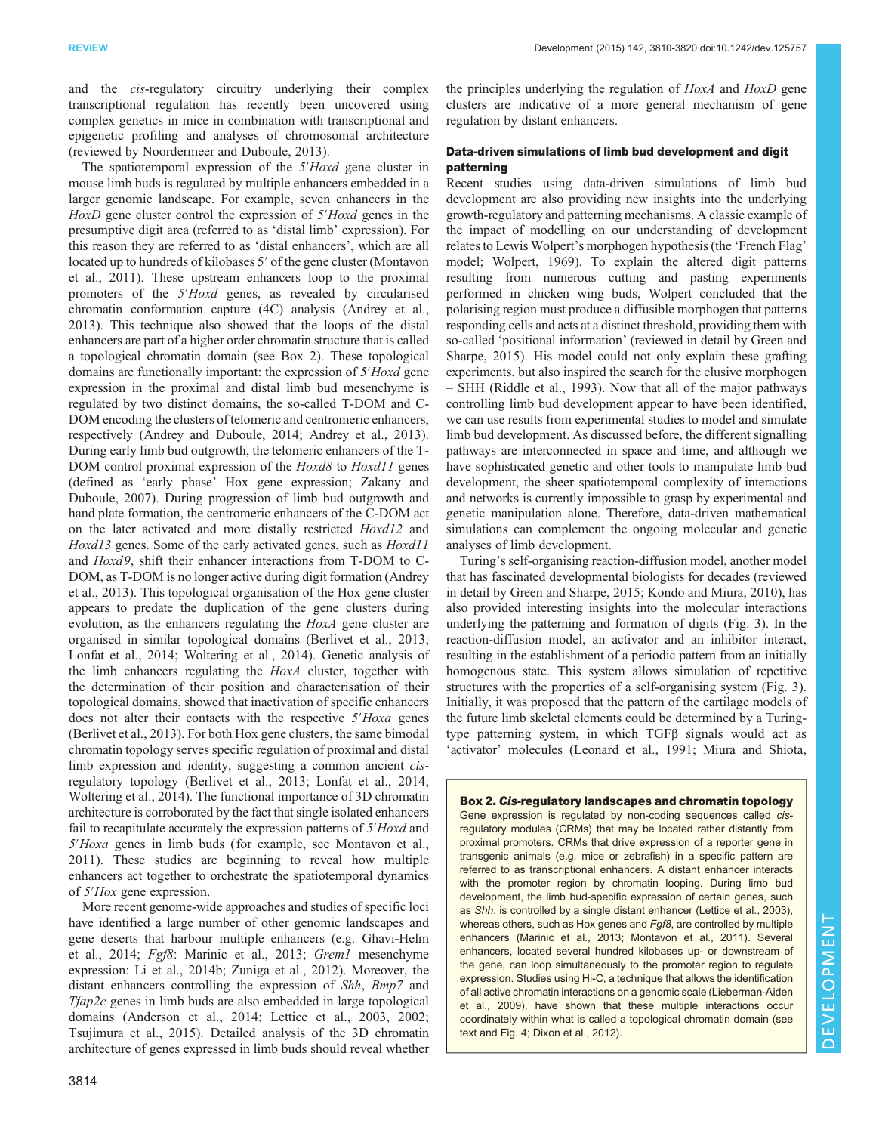and the cis-regulatory circuitry underlying their complex transcriptional regulation has recently been uncovered using complex genetics in mice in combination with transcriptional and epigenetic profiling and analyses of chromosomal architecture (reviewed by [Noordermeer and Duboule, 2013](#page-9-0)).

The spatiotemporal expression of the 5'Hoxd gene cluster in mouse limb buds is regulated by multiple enhancers embedded in a larger genomic landscape. For example, seven enhancers in the HoxD gene cluster control the expression of 5'Hoxd genes in the presumptive digit area (referred to as 'distal limb' expression). For this reason they are referred to as 'distal enhancers', which are all located up to hundreds of kilobases 5′ of the gene cluster [\(Montavon](#page-9-0) [et al., 2011](#page-9-0)). These upstream enhancers loop to the proximal promoters of the  $5'$ Hoxd genes, as revealed by circularised chromatin conformation capture (4C) analysis ([Andrey et al.,](#page-8-0) [2013](#page-8-0)). This technique also showed that the loops of the distal enhancers are part of a higher order chromatin structure that is called a topological chromatin domain (see Box 2). These topological domains are functionally important: the expression of 5′Hoxd gene expression in the proximal and distal limb bud mesenchyme is regulated by two distinct domains, the so-called T-DOM and C-DOM encoding the clusters of telomeric and centromeric enhancers, respectively ([Andrey and Duboule, 2014](#page-8-0); [Andrey et al., 2013\)](#page-8-0). During early limb bud outgrowth, the telomeric enhancers of the T-DOM control proximal expression of the Hoxd8 to Hoxd11 genes (defined as 'early phase' Hox gene expression; [Zakany and](#page-10-0) [Duboule, 2007\)](#page-10-0). During progression of limb bud outgrowth and hand plate formation, the centromeric enhancers of the C-DOM act on the later activated and more distally restricted Hoxd12 and Hoxd13 genes. Some of the early activated genes, such as Hoxd11 and Hoxd9, shift their enhancer interactions from T-DOM to C-DOM, as T-DOM is no longer active during digit formation [\(Andrey](#page-8-0) [et al., 2013](#page-8-0)). This topological organisation of the Hox gene cluster appears to predate the duplication of the gene clusters during evolution, as the enhancers regulating the HoxA gene cluster are organised in similar topological domains [\(Berlivet et al., 2013](#page-8-0); [Lonfat et al., 2014](#page-9-0); [Woltering et al., 2014](#page-10-0)). Genetic analysis of the limb enhancers regulating the *HoxA* cluster, together with the determination of their position and characterisation of their topological domains, showed that inactivation of specific enhancers does not alter their contacts with the respective  $5'Hoxa$  genes [\(Berlivet et al., 2013\)](#page-8-0). For both Hox gene clusters, the same bimodal chromatin topology serves specific regulation of proximal and distal limb expression and identity, suggesting a common ancient *cis*regulatory topology [\(Berlivet et al., 2013;](#page-8-0) [Lonfat et al., 2014](#page-9-0); [Woltering et al., 2014](#page-10-0)). The functional importance of 3D chromatin architecture is corroborated by the fact that single isolated enhancers fail to recapitulate accurately the expression patterns of 5'Hoxd and 5′Hoxa genes in limb buds (for example, see [Montavon et al.,](#page-9-0) [2011](#page-9-0)). These studies are beginning to reveal how multiple enhancers act together to orchestrate the spatiotemporal dynamics of 5′Hox gene expression.

More recent genome-wide approaches and studies of specific loci have identified a large number of other genomic landscapes and gene deserts that harbour multiple enhancers (e.g. [Ghavi-Helm](#page-9-0) [et al., 2014;](#page-9-0) Fgf8: [Marinic et al., 2013;](#page-9-0) Grem1 mesenchyme expression: [Li et al., 2014b;](#page-9-0) [Zuniga et al., 2012\)](#page-10-0). Moreover, the distant enhancers controlling the expression of Shh, Bmp7 and Tfap2c genes in limb buds are also embedded in large topological domains ([Anderson et al., 2014;](#page-8-0) [Lettice et al., 2003, 2002](#page-9-0); [Tsujimura et al., 2015](#page-10-0)). Detailed analysis of the 3D chromatin architecture of genes expressed in limb buds should reveal whether the principles underlying the regulation of HoxA and HoxD gene clusters are indicative of a more general mechanism of gene regulation by distant enhancers.

## Data-driven simulations of limb bud development and digit patterning

Recent studies using data-driven simulations of limb bud development are also providing new insights into the underlying growth-regulatory and patterning mechanisms. A classic example of the impact of modelling on our understanding of development relates to Lewis Wolpert's morphogen hypothesis (the 'French Flag' model; [Wolpert, 1969\)](#page-10-0). To explain the altered digit patterns resulting from numerous cutting and pasting experiments performed in chicken wing buds, Wolpert concluded that the polarising region must produce a diffusible morphogen that patterns responding cells and acts at a distinct threshold, providing them with so-called 'positional information' (reviewed in detail by [Green and](#page-9-0) [Sharpe, 2015\)](#page-9-0). His model could not only explain these grafting experiments, but also inspired the search for the elusive morphogen – SHH [\(Riddle et al., 1993\)](#page-10-0). Now that all of the major pathways controlling limb bud development appear to have been identified, we can use results from experimental studies to model and simulate limb bud development. As discussed before, the different signalling pathways are interconnected in space and time, and although we have sophisticated genetic and other tools to manipulate limb bud development, the sheer spatiotemporal complexity of interactions and networks is currently impossible to grasp by experimental and genetic manipulation alone. Therefore, data-driven mathematical simulations can complement the ongoing molecular and genetic analyses of limb development.

Turing's self-organising reaction-diffusion model, another model that has fascinated developmental biologists for decades (reviewed in detail by [Green and Sharpe, 2015; Kondo and Miura, 2010\)](#page-9-0), has also provided interesting insights into the molecular interactions underlying the patterning and formation of digits [\(Fig. 3](#page-5-0)). In the reaction-diffusion model, an activator and an inhibitor interact, resulting in the establishment of a periodic pattern from an initially homogenous state. This system allows simulation of repetitive structures with the properties of a self-organising system ([Fig. 3\)](#page-5-0). Initially, it was proposed that the pattern of the cartilage models of the future limb skeletal elements could be determined by a Turingtype patterning system, in which TGFβ signals would act as 'activator' molecules [\(Leonard et al., 1991](#page-9-0); [Miura and Shiota,](#page-9-0)

Box 2. Cis-regulatory landscapes and chromatin topology Gene expression is regulated by non-coding sequences called cisregulatory modules (CRMs) that may be located rather distantly from proximal promoters. CRMs that drive expression of a reporter gene in transgenic animals (e.g. mice or zebrafish) in a specific pattern are referred to as transcriptional enhancers. A distant enhancer interacts with the promoter region by chromatin looping. During limb bud development, the limb bud-specific expression of certain genes, such as Shh, is controlled by a single distant enhancer ([Lettice et al., 2003](#page-9-0)), whereas others, such as Hox genes and Fgf8, are controlled by multiple enhancers [\(Marinic et al., 2013](#page-9-0); [Montavon et al., 2011](#page-9-0)). Several enhancers, located several hundred kilobases up- or downstream of the gene, can loop simultaneously to the promoter region to regulate expression. Studies using Hi-C, a technique that allows the identification of all active chromatin interactions on a genomic scale ([Lieberman-Aiden](#page-9-0) [et al., 2009](#page-9-0)), have shown that these multiple interactions occur coordinately within what is called a topological chromatin domain (see text and [Fig. 4;](#page-6-0) [Dixon et al., 2012\)](#page-9-0).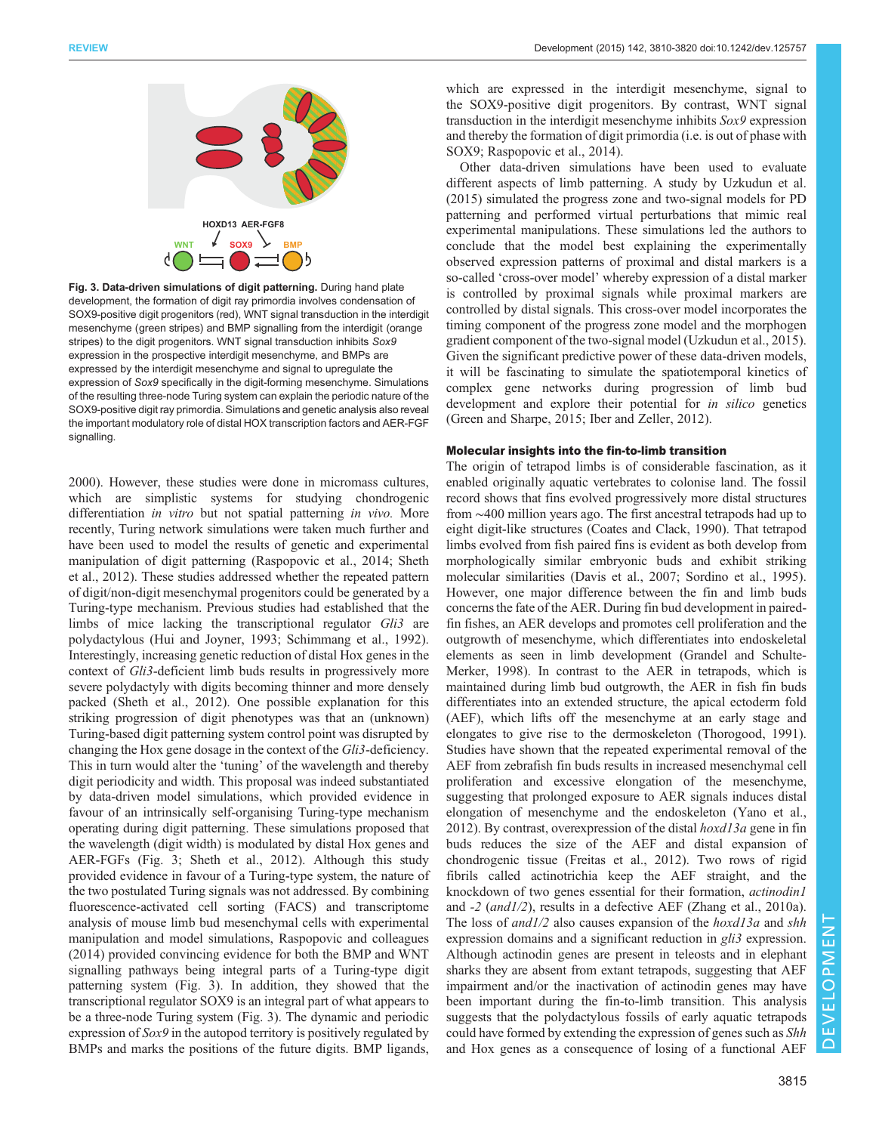<span id="page-5-0"></span>

Fig. 3. Data-driven simulations of digit patterning. During hand plate development, the formation of digit ray primordia involves condensation of SOX9-positive digit progenitors (red), WNT signal transduction in the interdigit mesenchyme (green stripes) and BMP signalling from the interdigit (orange stripes) to the digit progenitors. WNT signal transduction inhibits Sox9 expression in the prospective interdigit mesenchyme, and BMPs are expressed by the interdigit mesenchyme and signal to upregulate the expression of Sox9 specifically in the digit-forming mesenchyme. Simulations of the resulting three-node Turing system can explain the periodic nature of the SOX9-positive digit ray primordia. Simulations and genetic analysis also reveal the important modulatory role of distal HOX transcription factors and AER-FGF signalling.

[2000](#page-9-0)). However, these studies were done in micromass cultures, which are simplistic systems for studying chondrogenic differentiation *in vitro* but not spatial patterning *in vivo*. More recently, Turing network simulations were taken much further and have been used to model the results of genetic and experimental manipulation of digit patterning ([Raspopovic et al., 2014](#page-10-0); [Sheth](#page-10-0) [et al., 2012\)](#page-10-0). These studies addressed whether the repeated pattern of digit/non-digit mesenchymal progenitors could be generated by a Turing-type mechanism. Previous studies had established that the limbs of mice lacking the transcriptional regulator Gli3 are polydactylous ([Hui and Joyner, 1993;](#page-9-0) [Schimmang et al., 1992\)](#page-10-0). Interestingly, increasing genetic reduction of distal Hox genes in the context of Gli3-deficient limb buds results in progressively more severe polydactyly with digits becoming thinner and more densely packed [\(Sheth et al., 2012\)](#page-10-0). One possible explanation for this striking progression of digit phenotypes was that an (unknown) Turing-based digit patterning system control point was disrupted by changing the Hox gene dosage in the context of the Gli3-deficiency. This in turn would alter the 'tuning' of the wavelength and thereby digit periodicity and width. This proposal was indeed substantiated by data-driven model simulations, which provided evidence in favour of an intrinsically self-organising Turing-type mechanism operating during digit patterning. These simulations proposed that the wavelength (digit width) is modulated by distal Hox genes and AER-FGFs (Fig. 3; [Sheth et al., 2012](#page-10-0)). Although this study provided evidence in favour of a Turing-type system, the nature of the two postulated Turing signals was not addressed. By combining fluorescence-activated cell sorting (FACS) and transcriptome analysis of mouse limb bud mesenchymal cells with experimental manipulation and model simulations, [Raspopovic and colleagues](#page-10-0) [\(2014\)](#page-10-0) provided convincing evidence for both the BMP and WNT signalling pathways being integral parts of a Turing-type digit patterning system (Fig. 3). In addition, they showed that the transcriptional regulator SOX9 is an integral part of what appears to be a three-node Turing system (Fig. 3). The dynamic and periodic expression of Sox9 in the autopod territory is positively regulated by BMPs and marks the positions of the future digits. BMP ligands,

which are expressed in the interdigit mesenchyme, signal to the SOX9-positive digit progenitors. By contrast, WNT signal transduction in the interdigit mesenchyme inhibits Sox9 expression and thereby the formation of digit primordia (i.e. is out of phase with SOX9; [Raspopovic et al., 2014\)](#page-10-0).

Other data-driven simulations have been used to evaluate different aspects of limb patterning. A study by [Uzkudun et al.](#page-10-0) [\(2015\)](#page-10-0) simulated the progress zone and two-signal models for PD patterning and performed virtual perturbations that mimic real experimental manipulations. These simulations led the authors to conclude that the model best explaining the experimentally observed expression patterns of proximal and distal markers is a so-called 'cross-over model' whereby expression of a distal marker is controlled by proximal signals while proximal markers are controlled by distal signals. This cross-over model incorporates the timing component of the progress zone model and the morphogen gradient component of the two-signal model [\(Uzkudun et al., 2015\)](#page-10-0). Given the significant predictive power of these data-driven models, it will be fascinating to simulate the spatiotemporal kinetics of complex gene networks during progression of limb bud development and explore their potential for *in silico* genetics [\(Green and Sharpe, 2015](#page-9-0); [Iber and Zeller, 2012\)](#page-9-0).

#### Molecular insights into the fin-to-limb transition

The origin of tetrapod limbs is of considerable fascination, as it enabled originally aquatic vertebrates to colonise land. The fossil record shows that fins evolved progressively more distal structures from ∼400 million years ago. The first ancestral tetrapods had up to eight digit-like structures [\(Coates and Clack, 1990\)](#page-8-0). That tetrapod limbs evolved from fish paired fins is evident as both develop from morphologically similar embryonic buds and exhibit striking molecular similarities [\(Davis et al., 2007;](#page-9-0) [Sordino et al., 1995\)](#page-10-0). However, one major difference between the fin and limb buds concerns the fate of the AER. During fin bud development in pairedfin fishes, an AER develops and promotes cell proliferation and the outgrowth of mesenchyme, which differentiates into endoskeletal elements as seen in limb development [\(Grandel and Schulte-](#page-9-0)[Merker, 1998\)](#page-9-0). In contrast to the AER in tetrapods, which is maintained during limb bud outgrowth, the AER in fish fin buds differentiates into an extended structure, the apical ectoderm fold (AEF), which lifts off the mesenchyme at an early stage and elongates to give rise to the dermoskeleton ([Thorogood, 1991\)](#page-10-0). Studies have shown that the repeated experimental removal of the AEF from zebrafish fin buds results in increased mesenchymal cell proliferation and excessive elongation of the mesenchyme, suggesting that prolonged exposure to AER signals induces distal elongation of mesenchyme and the endoskeleton ([Yano et al.,](#page-10-0) [2012\)](#page-10-0). By contrast, overexpression of the distal hoxd13a gene in fin buds reduces the size of the AEF and distal expansion of chondrogenic tissue [\(Freitas et al., 2012\)](#page-9-0). Two rows of rigid fibrils called actinotrichia keep the AEF straight, and the knockdown of two genes essential for their formation, actinodin1 and -2 (and1/2), results in a defective AEF ([Zhang et al., 2010a\)](#page-10-0). The loss of and 1/2 also causes expansion of the hoxd13a and shh expression domains and a significant reduction in *gli3* expression. Although actinodin genes are present in teleosts and in elephant sharks they are absent from extant tetrapods, suggesting that AEF impairment and/or the inactivation of actinodin genes may have been important during the fin-to-limb transition. This analysis suggests that the polydactylous fossils of early aquatic tetrapods could have formed by extending the expression of genes such as Shh and Hox genes as a consequence of losing of a functional AEF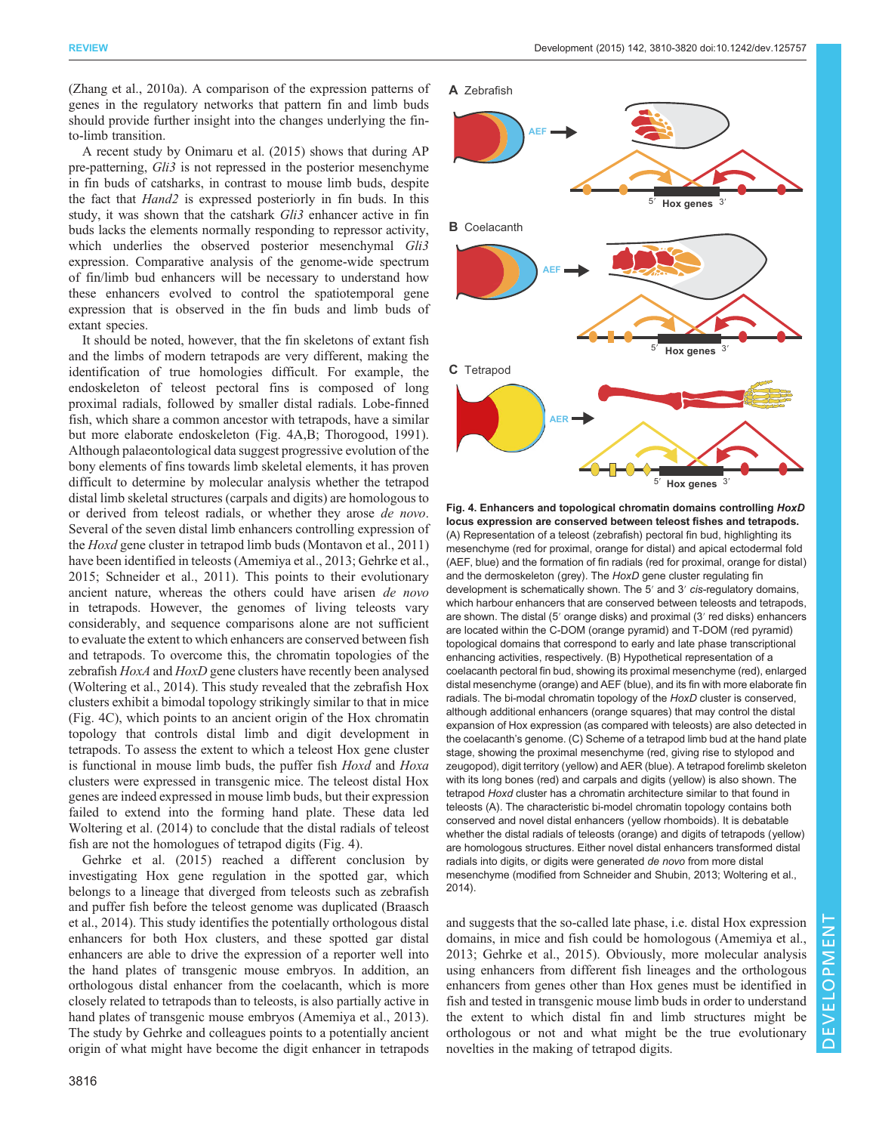<span id="page-6-0"></span>[\(Zhang et al., 2010a\)](#page-10-0). A comparison of the expression patterns of genes in the regulatory networks that pattern fin and limb buds should provide further insight into the changes underlying the finto-limb transition.

A recent study by [Onimaru et al. \(2015\)](#page-9-0) shows that during AP pre-patterning, Gli3 is not repressed in the posterior mesenchyme in fin buds of catsharks, in contrast to mouse limb buds, despite the fact that Hand2 is expressed posteriorly in fin buds. In this study, it was shown that the catshark *Gli3* enhancer active in fin buds lacks the elements normally responding to repressor activity, which underlies the observed posterior mesenchymal Gli3 expression. Comparative analysis of the genome-wide spectrum of fin/limb bud enhancers will be necessary to understand how these enhancers evolved to control the spatiotemporal gene expression that is observed in the fin buds and limb buds of extant species.

It should be noted, however, that the fin skeletons of extant fish and the limbs of modern tetrapods are very different, making the identification of true homologies difficult. For example, the endoskeleton of teleost pectoral fins is composed of long proximal radials, followed by smaller distal radials. Lobe-finned fish, which share a common ancestor with tetrapods, have a similar but more elaborate endoskeleton (Fig. 4A,B; [Thorogood, 1991\)](#page-10-0). Although palaeontological data suggest progressive evolution of the bony elements of fins towards limb skeletal elements, it has proven difficult to determine by molecular analysis whether the tetrapod distal limb skeletal structures (carpals and digits) are homologous to or derived from teleost radials, or whether they arose de novo. Several of the seven distal limb enhancers controlling expression of the Hoxd gene cluster in tetrapod limb buds [\(Montavon et al., 2011\)](#page-9-0) have been identified in teleosts ([Amemiya et al., 2013](#page-8-0); [Gehrke et al.,](#page-9-0) [2015](#page-9-0); [Schneider et al., 2011\)](#page-10-0). This points to their evolutionary ancient nature, whereas the others could have arisen de novo in tetrapods. However, the genomes of living teleosts vary considerably, and sequence comparisons alone are not sufficient to evaluate the extent to which enhancers are conserved between fish and tetrapods. To overcome this, the chromatin topologies of the zebrafish HoxA and HoxD gene clusters have recently been analysed [\(Woltering et al., 2014](#page-10-0)). This study revealed that the zebrafish Hox clusters exhibit a bimodal topology strikingly similar to that in mice (Fig. 4C), which points to an ancient origin of the Hox chromatin topology that controls distal limb and digit development in tetrapods. To assess the extent to which a teleost Hox gene cluster is functional in mouse limb buds, the puffer fish Hoxd and Hoxa clusters were expressed in transgenic mice. The teleost distal Hox genes are indeed expressed in mouse limb buds, but their expression failed to extend into the forming hand plate. These data led [Woltering et al. \(2014\)](#page-10-0) to conclude that the distal radials of teleost fish are not the homologues of tetrapod digits (Fig. 4).

[Gehrke et al. \(2015\)](#page-9-0) reached a different conclusion by investigating Hox gene regulation in the spotted gar, which belongs to a lineage that diverged from teleosts such as zebrafish and puffer fish before the teleost genome was duplicated ([Braasch](#page-8-0) [et al., 2014\)](#page-8-0). This study identifies the potentially orthologous distal enhancers for both Hox clusters, and these spotted gar distal enhancers are able to drive the expression of a reporter well into the hand plates of transgenic mouse embryos. In addition, an orthologous distal enhancer from the coelacanth, which is more closely related to tetrapods than to teleosts, is also partially active in hand plates of transgenic mouse embryos ([Amemiya et al., 2013\)](#page-8-0). The study by Gehrke and colleagues points to a potentially ancient origin of what might have become the digit enhancer in tetrapods



Fig. 4. Enhancers and topological chromatin domains controlling HoxD locus expression are conserved between teleost fishes and tetrapods. (A) Representation of a teleost (zebrafish) pectoral fin bud, highlighting its mesenchyme (red for proximal, orange for distal) and apical ectodermal fold (AEF, blue) and the formation of fin radials (red for proximal, orange for distal) and the dermoskeleton (grey). The HoxD gene cluster regulating fin development is schematically shown. The 5′ and 3′ cis-regulatory domains, which harbour enhancers that are conserved between teleosts and tetrapods, are shown. The distal (5′ orange disks) and proximal (3′ red disks) enhancers are located within the C-DOM (orange pyramid) and T-DOM (red pyramid) topological domains that correspond to early and late phase transcriptional enhancing activities, respectively. (B) Hypothetical representation of a coelacanth pectoral fin bud, showing its proximal mesenchyme (red), enlarged distal mesenchyme (orange) and AEF (blue), and its fin with more elaborate fin radials. The bi-modal chromatin topology of the HoxD cluster is conserved, although additional enhancers (orange squares) that may control the distal expansion of Hox expression (as compared with teleosts) are also detected in the coelacanth's genome. (C) Scheme of a tetrapod limb bud at the hand plate stage, showing the proximal mesenchyme (red, giving rise to stylopod and zeugopod), digit territory (yellow) and AER (blue). A tetrapod forelimb skeleton with its long bones (red) and carpals and digits (yellow) is also shown. The tetrapod Hoxd cluster has a chromatin architecture similar to that found in teleosts (A). The characteristic bi-model chromatin topology contains both conserved and novel distal enhancers (yellow rhomboids). It is debatable whether the distal radials of teleosts (orange) and digits of tetrapods (yellow) are homologous structures. Either novel distal enhancers transformed distal radials into digits, or digits were generated de novo from more distal mesenchyme (modified from [Schneider and Shubin, 2013; Woltering et al.,](#page-10-0) [2014\)](#page-10-0).

and suggests that the so-called late phase, i.e. distal Hox expression domains, in mice and fish could be homologous ([Amemiya et al.,](#page-8-0) [2013;](#page-8-0) [Gehrke et al., 2015](#page-9-0)). Obviously, more molecular analysis using enhancers from different fish lineages and the orthologous enhancers from genes other than Hox genes must be identified in fish and tested in transgenic mouse limb buds in order to understand the extent to which distal fin and limb structures might be orthologous or not and what might be the true evolutionary novelties in the making of tetrapod digits.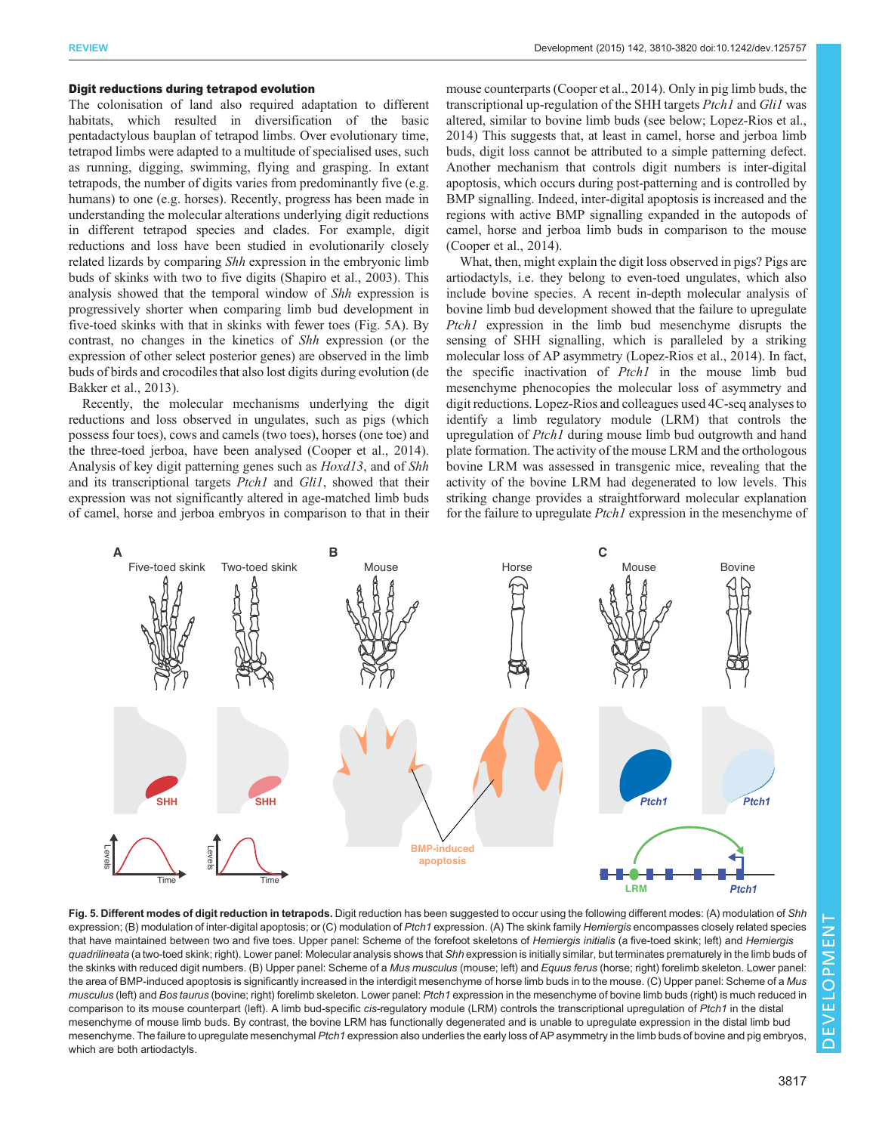### <span id="page-7-0"></span>Digit reductions during tetrapod evolution

The colonisation of land also required adaptation to different habitats, which resulted in diversification of the basic pentadactylous bauplan of tetrapod limbs. Over evolutionary time, tetrapod limbs were adapted to a multitude of specialised uses, such as running, digging, swimming, flying and grasping. In extant tetrapods, the number of digits varies from predominantly five (e.g. humans) to one (e.g. horses). Recently, progress has been made in understanding the molecular alterations underlying digit reductions in different tetrapod species and clades. For example, digit reductions and loss have been studied in evolutionarily closely related lizards by comparing Shh expression in the embryonic limb buds of skinks with two to five digits [\(Shapiro et al., 2003\)](#page-10-0). This analysis showed that the temporal window of Shh expression is progressively shorter when comparing limb bud development in five-toed skinks with that in skinks with fewer toes (Fig. 5A). By contrast, no changes in the kinetics of Shh expression (or the expression of other select posterior genes) are observed in the limb buds of birds and crocodiles that also lost digits during evolution [\(de](#page-9-0) [Bakker et al., 2013](#page-9-0)).

Recently, the molecular mechanisms underlying the digit reductions and loss observed in ungulates, such as pigs (which possess four toes), cows and camels (two toes), horses (one toe) and the three-toed jerboa, have been analysed ([Cooper et al., 2014\)](#page-9-0). Analysis of key digit patterning genes such as Hoxd13, and of Shh and its transcriptional targets Ptch1 and Gli1, showed that their expression was not significantly altered in age-matched limb buds of camel, horse and jerboa embryos in comparison to that in their

mouse counterparts ([Cooper et al., 2014](#page-9-0)). Only in pig limb buds, the transcriptional up-regulation of the SHH targets Ptch1 and Gli1 was altered, similar to bovine limb buds (see below; [Lopez-Rios et al.,](#page-9-0) [2014\)](#page-9-0) This suggests that, at least in camel, horse and jerboa limb buds, digit loss cannot be attributed to a simple patterning defect. Another mechanism that controls digit numbers is inter-digital apoptosis, which occurs during post-patterning and is controlled by BMP signalling. Indeed, inter-digital apoptosis is increased and the regions with active BMP signalling expanded in the autopods of camel, horse and jerboa limb buds in comparison to the mouse [\(Cooper et al., 2014\)](#page-9-0).

What, then, might explain the digit loss observed in pigs? Pigs are artiodactyls, i.e. they belong to even-toed ungulates, which also include bovine species. A recent in-depth molecular analysis of bovine limb bud development showed that the failure to upregulate Ptch1 expression in the limb bud mesenchyme disrupts the sensing of SHH signalling, which is paralleled by a striking molecular loss of AP asymmetry ([Lopez-Rios et al., 2014\)](#page-9-0). In fact, the specific inactivation of Ptch1 in the mouse limb bud mesenchyme phenocopies the molecular loss of asymmetry and digit reductions. Lopez-Rios and colleagues used 4C-seq analyses to identify a limb regulatory module (LRM) that controls the upregulation of Ptch1 during mouse limb bud outgrowth and hand plate formation. The activity of the mouse LRM and the orthologous bovine LRM was assessed in transgenic mice, revealing that the activity of the bovine LRM had degenerated to low levels. This striking change provides a straightforward molecular explanation for the failure to upregulate *Ptch1* expression in the mesenchyme of



Fig. 5. Different modes of digit reduction in tetrapods. Digit reduction has been suggested to occur using the following different modes: (A) modulation of Shh expression; (B) modulation of inter-digital apoptosis; or (C) modulation of Ptch1 expression. (A) The skink family Hemiergis encompasses closely related species that have maintained between two and five toes. Upper panel: Scheme of the forefoot skeletons of Hemiergis initialis (a five-toed skink; left) and Hemiergis quadrilineata (a two-toed skink; right). Lower panel: Molecular analysis shows that Shh expression is initially similar, but terminates prematurely in the limb buds of the skinks with reduced digit numbers. (B) Upper panel: Scheme of a Mus musculus (mouse; left) and Equus ferus (horse; right) forelimb skeleton. Lower panel: the area of BMP-induced apoptosis is significantly increased in the interdigit mesenchyme of horse limb buds in to the mouse. (C) Upper panel: Scheme of a Mus musculus (left) and Bos taurus (bovine; right) forelimb skeleton. Lower panel: Ptch1 expression in the mesenchyme of bovine limb buds (right) is much reduced in comparison to its mouse counterpart (left). A limb bud-specific cis-regulatory module (LRM) controls the transcriptional upregulation of Ptch1 in the distal mesenchyme of mouse limb buds. By contrast, the bovine LRM has functionally degenerated and is unable to upregulate expression in the distal limb bud mesenchyme. The failure to upregulate mesenchymal Ptch1 expression also underlies the early loss of AP asymmetry in the limb buds of bovine and pig embryos, which are both artiodactyls.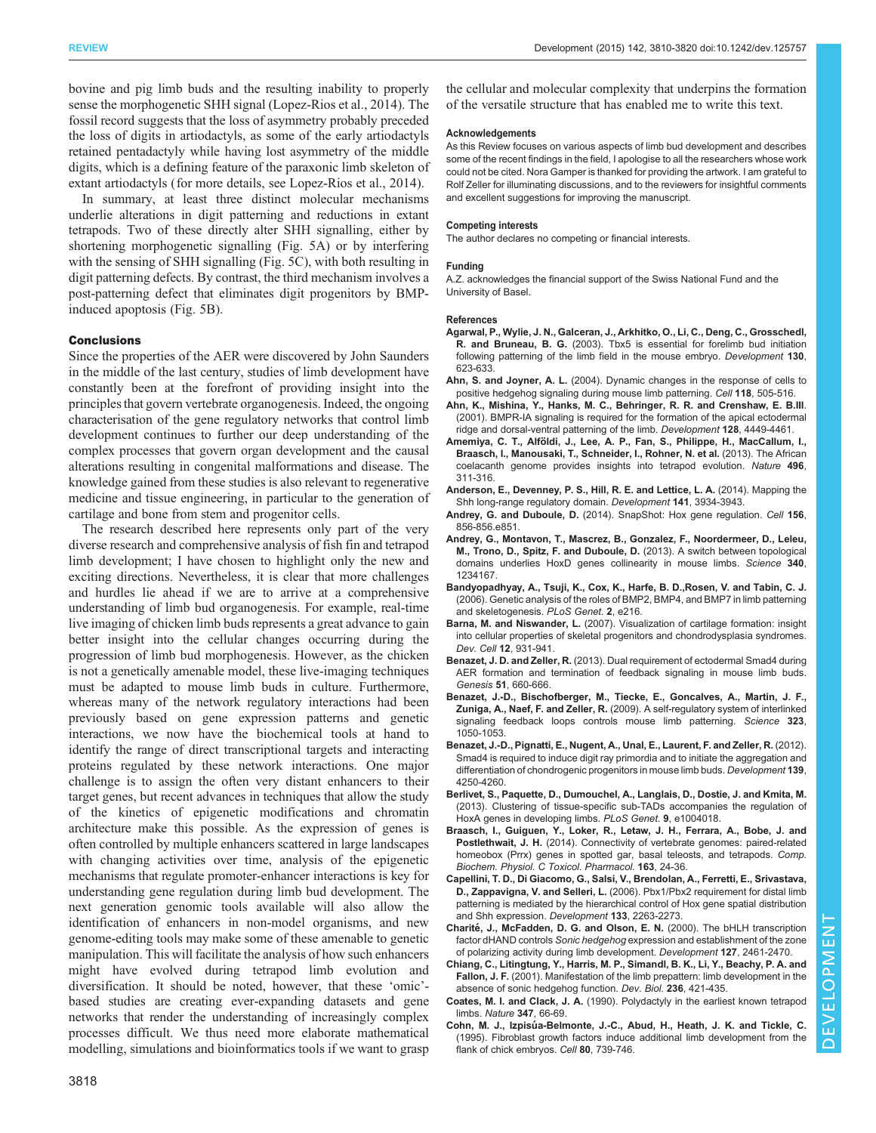<span id="page-8-0"></span>bovine and pig limb buds and the resulting inability to properly sense the morphogenetic SHH signal ([Lopez-Rios et al., 2014\)](#page-9-0). The fossil record suggests that the loss of asymmetry probably preceded the loss of digits in artiodactyls, as some of the early artiodactyls retained pentadactyly while having lost asymmetry of the middle digits, which is a defining feature of the paraxonic limb skeleton of extant artiodactyls (for more details, see [Lopez-Rios et al., 2014](#page-9-0)).

In summary, at least three distinct molecular mechanisms underlie alterations in digit patterning and reductions in extant tetrapods. Two of these directly alter SHH signalling, either by shortening morphogenetic signalling [\(Fig. 5A](#page-7-0)) or by interfering with the sensing of SHH signalling [\(Fig. 5](#page-7-0)C), with both resulting in digit patterning defects. By contrast, the third mechanism involves a post-patterning defect that eliminates digit progenitors by BMPinduced apoptosis [\(Fig. 5](#page-7-0)B).

#### **Conclusions**

Since the properties of the AER were discovered by John Saunders in the middle of the last century, studies of limb development have constantly been at the forefront of providing insight into the principles that govern vertebrate organogenesis. Indeed, the ongoing characterisation of the gene regulatory networks that control limb development continues to further our deep understanding of the complex processes that govern organ development and the causal alterations resulting in congenital malformations and disease. The knowledge gained from these studies is also relevant to regenerative medicine and tissue engineering, in particular to the generation of cartilage and bone from stem and progenitor cells.

The research described here represents only part of the very diverse research and comprehensive analysis of fish fin and tetrapod limb development; I have chosen to highlight only the new and exciting directions. Nevertheless, it is clear that more challenges and hurdles lie ahead if we are to arrive at a comprehensive understanding of limb bud organogenesis. For example, real-time live imaging of chicken limb buds represents a great advance to gain better insight into the cellular changes occurring during the progression of limb bud morphogenesis. However, as the chicken is not a genetically amenable model, these live-imaging techniques must be adapted to mouse limb buds in culture. Furthermore, whereas many of the network regulatory interactions had been previously based on gene expression patterns and genetic interactions, we now have the biochemical tools at hand to identify the range of direct transcriptional targets and interacting proteins regulated by these network interactions. One major challenge is to assign the often very distant enhancers to their target genes, but recent advances in techniques that allow the study of the kinetics of epigenetic modifications and chromatin architecture make this possible. As the expression of genes is often controlled by multiple enhancers scattered in large landscapes with changing activities over time, analysis of the epigenetic mechanisms that regulate promoter-enhancer interactions is key for understanding gene regulation during limb bud development. The next generation genomic tools available will also allow the identification of enhancers in non-model organisms, and new genome-editing tools may make some of these amenable to genetic manipulation. This will facilitate the analysis of how such enhancers might have evolved during tetrapod limb evolution and diversification. It should be noted, however, that these 'omic' based studies are creating ever-expanding datasets and gene networks that render the understanding of increasingly complex processes difficult. We thus need more elaborate mathematical modelling, simulations and bioinformatics tools if we want to grasp

the cellular and molecular complexity that underpins the formation of the versatile structure that has enabled me to write this text.

#### Acknowledgements

As this Review focuses on various aspects of limb bud development and describes some of the recent findings in the field, I apologise to all the researchers whose work could not be cited. Nora Gamper is thanked for providing the artwork. I am grateful to Rolf Zeller for illuminating discussions, and to the reviewers for insightful comments and excellent suggestions for improving the manuscript.

## Competing interests

The author declares no competing or financial interests.

### Funding

A.Z. acknowledges the financial support of the Swiss National Fund and the University of Basel.

#### References

- [Agarwal, P., Wylie, J. N., Galceran, J., Arkhitko, O., Li, C., Deng, C., Grosschedl,](http://dx.doi.org/10.1242/dev.00191) R. and Bruneau, B. G. [\(2003\). Tbx5 is essential for forelimb bud initiation](http://dx.doi.org/10.1242/dev.00191) [following patterning of the limb field in the mouse embryo.](http://dx.doi.org/10.1242/dev.00191) Development 130, [623-633.](http://dx.doi.org/10.1242/dev.00191)
- Ahn, S. and Joyner, A. L. [\(2004\). Dynamic changes in the response of cells to](http://dx.doi.org/10.1016/j.cell.2004.07.023) [positive hedgehog signaling during mouse limb patterning.](http://dx.doi.org/10.1016/j.cell.2004.07.023) Cell 118, 505-516.
- Ahn, K., Mishina, Y., Hanks, M. C., Behringer, R. R. and Crenshaw, E. B.III. (2001). BMPR-IA signaling is required for the formation of the apical ectodermal ridge and dorsal-ventral patterning of the limb. Development 128, 4449-4461.
- Amemiya, C. T., Alfö[ldi, J., Lee, A. P., Fan, S., Philippe, H., MacCallum, I.,](http://dx.doi.org/10.1038/nature12027) [Braasch, I., Manousaki, T., Schneider, I., Rohner, N. et al.](http://dx.doi.org/10.1038/nature12027) (2013). The African [coelacanth genome provides insights into tetrapod evolution.](http://dx.doi.org/10.1038/nature12027) Nature 496, [311-316.](http://dx.doi.org/10.1038/nature12027)
- [Anderson, E., Devenney, P. S., Hill, R. E. and Lettice, L. A.](http://dx.doi.org/10.1242/dev.108480) (2014). Mapping the [Shh long-range regulatory domain.](http://dx.doi.org/10.1242/dev.108480) Development 141, 3934-3943.
- Andrey, G. and Duboule, D. [\(2014\). SnapShot: Hox gene regulation.](http://dx.doi.org/10.1016/j.cell.2014.01.060) Cell 156, [856-856.e851.](http://dx.doi.org/10.1016/j.cell.2014.01.060)
- [Andrey, G., Montavon, T., Mascrez, B., Gonzalez, F., Noordermeer, D., Leleu,](http://dx.doi.org/10.1126/science.1234167) [M., Trono, D., Spitz, F. and Duboule, D.](http://dx.doi.org/10.1126/science.1234167) (2013). A switch between topological [domains underlies HoxD genes collinearity in mouse limbs.](http://dx.doi.org/10.1126/science.1234167) Science 340, [1234167.](http://dx.doi.org/10.1126/science.1234167)
- Bandyopadhyay, A., Tsuji, K., Cox, K., Harfe, B. D.,Rosen, V. and Tabin, C. J. (2006). Genetic analysis of the roles of BMP2, BMP4, and BMP7 in limb patterning and skeletogenesis. PLoS Genet. 2, e216.
- Barna, M. and Niswander, L. [\(2007\). Visualization of cartilage formation: insight](http://dx.doi.org/10.1016/j.devcel.2007.04.016) [into cellular properties of skeletal progenitors and chondrodysplasia syndromes.](http://dx.doi.org/10.1016/j.devcel.2007.04.016) Dev. Cell 12[, 931-941.](http://dx.doi.org/10.1016/j.devcel.2007.04.016)
- Benazet, J. D. and Zeller, R. (2013). Dual requirement of ectodermal Smad4 during AER formation and termination of feedback signaling in mouse limb buds. Genesis 51, 660-666.
- [Benazet, J.-D., Bischofberger, M., Tiecke, E., Goncalves, A., Martin, J. F.,](http://dx.doi.org/10.1126/science.1168755) Zuniga, A., Naef, F. and Zeller, R. [\(2009\). A self-regulatory system of interlinked](http://dx.doi.org/10.1126/science.1168755) [signaling feedback loops controls mouse limb patterning.](http://dx.doi.org/10.1126/science.1168755) Science 323, [1050-1053.](http://dx.doi.org/10.1126/science.1168755)
- [Benazet, J.-D., Pignatti, E., Nugent, A., Unal, E., Laurent, F. and Zeller, R.](http://dx.doi.org/10.1242/dev.084822) (2012). [Smad4 is required to induce digit ray primordia and to initiate the aggregation and](http://dx.doi.org/10.1242/dev.084822) [differentiation of chondrogenic progenitors in mouse limb buds.](http://dx.doi.org/10.1242/dev.084822) Development 139, [4250-4260.](http://dx.doi.org/10.1242/dev.084822)
- [Berlivet, S., Paquette, D., Dumouchel, A., Langlais, D., Dostie, J. and Kmita, M.](http://dx.doi.org/10.1371/journal.pgen.1004018) [\(2013\). Clustering of tissue-specific sub-TADs accompanies the regulation of](http://dx.doi.org/10.1371/journal.pgen.1004018) [HoxA genes in developing limbs.](http://dx.doi.org/10.1371/journal.pgen.1004018) PLoS Genet. 9, e1004018.
- [Braasch, I., Guiguen, Y., Loker, R., Letaw, J. H., Ferrara, A., Bobe, J. and](http://dx.doi.org/10.1016/j.cbpc.2014.01.005) Postlethwait, J. H. [\(2014\). Connectivity of vertebrate genomes: paired-related](http://dx.doi.org/10.1016/j.cbpc.2014.01.005) [homeobox \(Prrx\) genes in spotted gar, basal teleosts, and tetrapods.](http://dx.doi.org/10.1016/j.cbpc.2014.01.005) Comp. [Biochem. Physiol. C Toxicol. Pharmacol.](http://dx.doi.org/10.1016/j.cbpc.2014.01.005) 163, 24-36.
- [Capellini, T. D., Di Giacomo, G., Salsi, V., Brendolan, A., Ferretti, E., Srivastava,](http://dx.doi.org/10.1242/dev.02395) D., Zappavigna, V. and Selleri, L. [\(2006\). Pbx1/Pbx2 requirement for distal limb](http://dx.doi.org/10.1242/dev.02395) [patterning is mediated by the hierarchical control of Hox gene spatial distribution](http://dx.doi.org/10.1242/dev.02395) [and Shh expression.](http://dx.doi.org/10.1242/dev.02395) Development 133, 2263-2273.
- Charité, J., McFadden, D. G. and Olson, E. N. (2000). The bHLH transcription factor dHAND controls Sonic hedgehog expression and establishment of the zone of polarizing activity during limb development. Development 127, 2461-2470.
- [Chiang, C., Litingtung, Y., Harris, M. P., Simandl, B. K., Li, Y., Beachy, P. A. and](http://dx.doi.org/10.1006/dbio.2001.0346) Fallon, J. F. [\(2001\). Manifestation of the limb prepattern: limb development in the](http://dx.doi.org/10.1006/dbio.2001.0346) [absence of sonic hedgehog function.](http://dx.doi.org/10.1006/dbio.2001.0346) Dev. Biol. 236, 421-435.
- Coates, M. I. and Clack, J. A. [\(1990\). Polydactyly in the earliest known tetrapod](http://dx.doi.org/10.1038/347066a0) limbs. Nature 347[, 66-69.](http://dx.doi.org/10.1038/347066a0)
- Cohn, M. J., Izpisú[a-Belmonte, J.-C., Abud, H., Heath, J. K. and Tickle, C.](http://dx.doi.org/10.1016/0092-8674(95)90352-6) [\(1995\). Fibroblast growth factors induce additional limb development from the](http://dx.doi.org/10.1016/0092-8674(95)90352-6) [flank of chick embryos.](http://dx.doi.org/10.1016/0092-8674(95)90352-6) Cell 80, 739-746.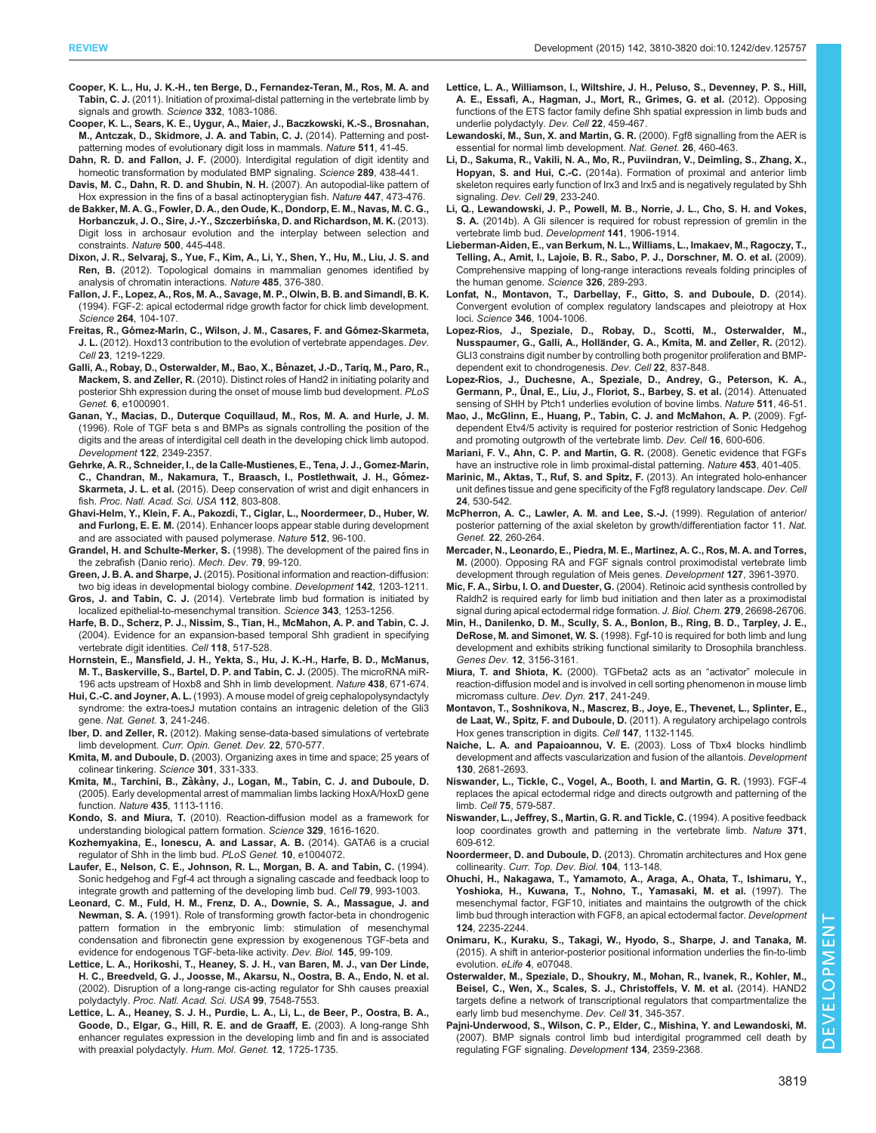- <span id="page-9-0"></span>[Cooper, K. L., Hu, J. K.-H., ten Berge, D., Fernandez-Teran, M., Ros, M. A. and](http://dx.doi.org/10.1126/science.1199499) Tabin, C. J. [\(2011\). Initiation of proximal-distal patterning in the vertebrate limb by](http://dx.doi.org/10.1126/science.1199499) [signals and growth.](http://dx.doi.org/10.1126/science.1199499) Science 332, 1083-1086.
- [Cooper, K. L., Sears, K. E., Uygur, A., Maier, J., Baczkowski, K.-S., Brosnahan,](http://dx.doi.org/10.1038/nature13496) [M., Antczak, D., Skidmore, J. A. and Tabin, C. J.](http://dx.doi.org/10.1038/nature13496) (2014). Patterning and post[patterning modes of evolutionary digit loss in mammals.](http://dx.doi.org/10.1038/nature13496) Nature 511, 41-45.
- Dahn, R. D. and Fallon, J. F. [\(2000\). Interdigital regulation of digit identity and](http://dx.doi.org/10.1126/science.289.5478.438) [homeotic transformation by modulated BMP signaling.](http://dx.doi.org/10.1126/science.289.5478.438) Science 289, 438-441.
- [Davis, M. C., Dahn, R. D. and Shubin, N. H.](http://dx.doi.org/10.1038/nature05838) (2007). An autopodial-like pattern of [Hox expression in the fins of a basal actinopterygian fish.](http://dx.doi.org/10.1038/nature05838) Nature 447, 473-476.
- [de Bakker, M. A. G., Fowler, D. A., den Oude, K., Dondorp, E. M., Navas, M. C. G.,](http://dx.doi.org/10.1038/nature12336) Horbanczuk, J. O., Sire, J.-Y., Szczerbińska, D. and Richardson, M. K. (2013). [Digit loss in archosaur evolution and the interplay between selection and](http://dx.doi.org/10.1038/nature12336) [constraints.](http://dx.doi.org/10.1038/nature12336) Nature 500, 445-448.
- [Dixon, J. R., Selvaraj, S., Yue, F., Kim, A., Li, Y., Shen, Y., Hu, M., Liu, J. S. and](http://dx.doi.org/10.1038/nature11082) Ren, B. [\(2012\). Topological domains in mammalian genomes identified by](http://dx.doi.org/10.1038/nature11082) [analysis of chromatin interactions.](http://dx.doi.org/10.1038/nature11082) Nature 485, 376-380.
- [Fallon, J. F., Lopez, A., Ros, M. A., Savage, M. P., Olwin, B. B. and Simandl, B. K.](http://dx.doi.org/10.1126/science.7908145) [\(1994\). FGF-2: apical ectodermal ridge growth factor for chick limb development.](http://dx.doi.org/10.1126/science.7908145) Science 264[, 104-107.](http://dx.doi.org/10.1126/science.7908145)
- Freitas, R., Gómez-Marín, C., Wilson, J. M., Casares, F. and Gómez-Skarmeta, J. L. [\(2012\). Hoxd13 contribution to the evolution of vertebrate appendages.](http://dx.doi.org/10.1016/j.devcel.2012.10.015) Dev. Cell 23[, 1219-1229.](http://dx.doi.org/10.1016/j.devcel.2012.10.015)
- Galli, A., Robay, D., Osterwalder, M., Bao, X., Bénazet, J.-D., Tariq, M., Paro, R., Mackem, S. and Zeller, R. [\(2010\). Distinct roles of Hand2 in initiating polarity and](http://dx.doi.org/10.1371/journal.pgen.1000901) [posterior Shh expression during the onset of mouse limb bud development.](http://dx.doi.org/10.1371/journal.pgen.1000901) PLoS Genet. 6[, e1000901.](http://dx.doi.org/10.1371/journal.pgen.1000901)
- Ganan, Y., Macias, D., Duterque Coquillaud, M., Ros, M. A. and Hurle, J. M. (1996). Role of TGF beta s and BMPs as signals controlling the position of the digits and the areas of interdigital cell death in the developing chick limb autopod. Development 122, 2349-2357.
- [Gehrke, A. R., Schneider, I., de la Calle-Mustienes, E., Tena, J. J., Gomez-Marin,](http://dx.doi.org/10.1073/pnas.1420208112) C., Chandran, M., Nakamura, T., Braasch, I., Postlethwait, J. H., Gómez-Skarmeta, J. L. et al. [\(2015\). Deep conservation of wrist and digit enhancers in](http://dx.doi.org/10.1073/pnas.1420208112) fish. [Proc. Natl. Acad. Sci. USA](http://dx.doi.org/10.1073/pnas.1420208112) 112, 803-808.
- [Ghavi-Helm, Y., Klein, F. A., Pakozdi, T., Ciglar, L., Noordermeer, D., Huber, W.](http://dx.doi.org/10.1038/nature13417) and Furlong, E. E. M. [\(2014\). Enhancer loops appear stable during development](http://dx.doi.org/10.1038/nature13417) [and are associated with paused polymerase.](http://dx.doi.org/10.1038/nature13417) Nature 512, 96-100.
- Grandel, H. and Schulte-Merker, S. [\(1998\). The development of the paired fins in](http://dx.doi.org/10.1016/S0925-4773(98)00176-2) [the zebrafish \(Danio rerio\).](http://dx.doi.org/10.1016/S0925-4773(98)00176-2) Mech. Dev. 79, 99-120.
- Green, J. B. A. and Sharpe, J. [\(2015\). Positional information and reaction-diffusion:](http://dx.doi.org/10.1242/dev.114991) [two big ideas in developmental biology combine.](http://dx.doi.org/10.1242/dev.114991) Development 142, 1203-1211.
- Gros, J. and Tabin, C. J. [\(2014\). Vertebrate limb bud formation is initiated by](http://dx.doi.org/10.1126/science.1248228) [localized epithelial-to-mesenchymal transition.](http://dx.doi.org/10.1126/science.1248228) Science 343, 1253-1256.
- [Harfe, B. D., Scherz, P. J., Nissim, S., Tian, H., McMahon, A. P. and Tabin, C. J.](http://dx.doi.org/10.1016/j.cell.2004.07.024) [\(2004\). Evidence for an expansion-based temporal Shh gradient in specifying](http://dx.doi.org/10.1016/j.cell.2004.07.024) [vertebrate digit identities.](http://dx.doi.org/10.1016/j.cell.2004.07.024) Cell 118, 517-528.
- [Hornstein, E., Mansfield, J. H., Yekta, S., Hu, J. K.-H., Harfe, B. D., McManus,](http://dx.doi.org/10.1038/nature04138) [M. T., Baskerville, S., Bartel, D. P. and Tabin, C. J.](http://dx.doi.org/10.1038/nature04138) (2005). The microRNA miR-[196 acts upstream of Hoxb8 and Shh in limb development.](http://dx.doi.org/10.1038/nature04138) Nature 438, 671-674.
- Hui, C.-C. and Joyner, A. L. [\(1993\). A mouse model of greig cephalopolysyndactyly](http://dx.doi.org/10.1038/ng0393-241) [syndrome: the extra-toesJ mutation contains an intragenic deletion of the Gli3](http://dx.doi.org/10.1038/ng0393-241) gene. [Nat. Genet.](http://dx.doi.org/10.1038/ng0393-241) 3, 241-246.
- Iber, D. and Zeller, R. [\(2012\). Making sense-data-based simulations of vertebrate](http://dx.doi.org/10.1016/j.gde.2012.11.005) limb development. [Curr. Opin. Genet. Dev.](http://dx.doi.org/10.1016/j.gde.2012.11.005) 22, 570-577.
- Kmita, M. and Duboule, D. [\(2003\). Organizing axes in time and space; 25 years of](http://dx.doi.org/10.1126/science.1085753) [colinear tinkering.](http://dx.doi.org/10.1126/science.1085753) Science 301, 331-333.
- Kmita, M., Tarchini, B., Zàkà[ny, J., Logan, M., Tabin, C. J. and Duboule, D.](http://dx.doi.org/10.1038/nature03648) [\(2005\). Early developmental arrest of mammalian limbs lacking HoxA/HoxD gene](http://dx.doi.org/10.1038/nature03648) function. Nature 435[, 1113-1116.](http://dx.doi.org/10.1038/nature03648)
- Kondo, S. and Miura, T. [\(2010\). Reaction-diffusion model as a framework for](http://dx.doi.org/10.1126/science.1179047) [understanding biological pattern formation.](http://dx.doi.org/10.1126/science.1179047) Science 329, 1616-1620.
- [Kozhemyakina, E., Ionescu, A. and Lassar, A. B.](http://dx.doi.org/10.1371/journal.pgen.1004072) (2014). GATA6 is a crucial [regulator of Shh in the limb bud.](http://dx.doi.org/10.1371/journal.pgen.1004072) PLoS Genet. 10, e1004072.
- [Laufer, E., Nelson, C. E., Johnson, R. L., Morgan, B. A. and Tabin, C.](http://dx.doi.org/10.1016/0092-8674(94)90030-2) (1994). [Sonic hedgehog and Fgf-4 act through a signaling cascade and feedback loop to](http://dx.doi.org/10.1016/0092-8674(94)90030-2) [integrate growth and patterning of the developing limb bud.](http://dx.doi.org/10.1016/0092-8674(94)90030-2) Cell 79, 993-1003.
- [Leonard, C. M., Fuld, H. M., Frenz, D. A., Downie, S. A., Massague, J. and](http://dx.doi.org/10.1016/0012-1606(91)90216-P) Newman, S. A. [\(1991\). Role of transforming growth factor-beta in chondrogenic](http://dx.doi.org/10.1016/0012-1606(91)90216-P) [pattern formation in the embryonic limb: stimulation of mesenchymal](http://dx.doi.org/10.1016/0012-1606(91)90216-P) [condensation and fibronectin gene expression by exogenenous TGF-beta and](http://dx.doi.org/10.1016/0012-1606(91)90216-P) [evidence for endogenous TGF-beta-like activity.](http://dx.doi.org/10.1016/0012-1606(91)90216-P) Dev. Biol. 145, 99-109.
- [Lettice, L. A., Horikoshi, T., Heaney, S. J. H., van Baren, M. J., van Der Linde,](http://dx.doi.org/10.1073/pnas.112212199) [H. C., Breedveld, G. J., Joosse, M., Akarsu, N., Oostra, B. A., Endo, N. et al.](http://dx.doi.org/10.1073/pnas.112212199) [\(2002\). Disruption of a long-range cis-acting regulator for Shh causes preaxial](http://dx.doi.org/10.1073/pnas.112212199) polydactyly. [Proc. Natl. Acad. Sci. USA](http://dx.doi.org/10.1073/pnas.112212199) 99, 7548-7553.
- [Lettice, L. A., Heaney, S. J. H., Purdie, L. A., Li, L., de Beer, P., Oostra, B. A.,](http://dx.doi.org/10.1093/hmg/ddg180) [Goode, D., Elgar, G., Hill, R. E. and de Graaff, E.](http://dx.doi.org/10.1093/hmg/ddg180) (2003). A long-range Shh [enhancer regulates expression in the developing limb and fin and is associated](http://dx.doi.org/10.1093/hmg/ddg180) [with preaxial polydactyly.](http://dx.doi.org/10.1093/hmg/ddg180) Hum. Mol. Genet. 12, 1725-1735.
- [Lettice, L. A., Williamson, I., Wiltshire, J. H., Peluso, S., Devenney, P. S., Hill,](http://dx.doi.org/10.1016/j.devcel.2011.12.010) [A. E., Essafi, A., Hagman, J., Mort, R., Grimes, G. et al.](http://dx.doi.org/10.1016/j.devcel.2011.12.010) (2012). Opposing [functions of the ETS factor family define Shh spatial expression in limb buds and](http://dx.doi.org/10.1016/j.devcel.2011.12.010) [underlie polydactyly.](http://dx.doi.org/10.1016/j.devcel.2011.12.010) Dev. Cell 22, 459-467.
- [Lewandoski, M., Sun, X. and Martin, G. R.](http://dx.doi.org/10.1038/82609) (2000). Fgf8 signalling from the AER is [essential for normal limb development.](http://dx.doi.org/10.1038/82609) Nat. Genet. 26, 460-463.
- [Li, D., Sakuma, R., Vakili, N. A., Mo, R., Puviindran, V., Deimling, S., Zhang, X.,](http://dx.doi.org/10.1016/j.devcel.2014.03.001) Hopyan, S. and Hui, C.-C. [\(2014a\). Formation of proximal and anterior limb](http://dx.doi.org/10.1016/j.devcel.2014.03.001) [skeleton requires early function of Irx3 and Irx5 and is negatively regulated by Shh](http://dx.doi.org/10.1016/j.devcel.2014.03.001) signaling. Dev. Cell **29**[, 233-240.](http://dx.doi.org/10.1016/j.devcel.2014.03.001)
- [Li, Q., Lewandowski, J. P., Powell, M. B., Norrie, J. L., Cho, S. H. and Vokes,](http://dx.doi.org/10.1242/dev.104299) S. A. [\(2014b\). A Gli silencer is required for robust repression of gremlin in the](http://dx.doi.org/10.1242/dev.104299) [vertebrate limb bud.](http://dx.doi.org/10.1242/dev.104299) Development 141, 1906-1914
- [Lieberman-Aiden, E., van Berkum, N. L., Williams, L., Imakaev, M., Ragoczy, T.,](http://dx.doi.org/10.1126/science.1181369) [Telling, A., Amit, I., Lajoie, B. R., Sabo, P. J., Dorschner, M. O. et al.](http://dx.doi.org/10.1126/science.1181369) (2009). [Comprehensive mapping of long-range interactions reveals folding principles of](http://dx.doi.org/10.1126/science.1181369) [the human genome.](http://dx.doi.org/10.1126/science.1181369) Science 326, 289-293.
- [Lonfat, N., Montavon, T., Darbellay, F., Gitto, S. and Duboule, D.](http://dx.doi.org/10.1126/science.1257493) (2014). [Convergent evolution of complex regulatory landscapes and pleiotropy at Hox](http://dx.doi.org/10.1126/science.1257493) loci. Science 346[, 1004-1006.](http://dx.doi.org/10.1126/science.1257493)
- [Lopez-Rios, J., Speziale, D., Robay, D., Scotti, M., Osterwalder, M.,](http://dx.doi.org/10.1016/j.devcel.2012.01.006) Nusspaumer, G., Galli, A., Hollä[nder, G. A., Kmita, M. and Zeller, R.](http://dx.doi.org/10.1016/j.devcel.2012.01.006) (2012). [GLI3 constrains digit number by controlling both progenitor proliferation and BMP](http://dx.doi.org/10.1016/j.devcel.2012.01.006)[dependent exit to chondrogenesis.](http://dx.doi.org/10.1016/j.devcel.2012.01.006) Dev. Cell 22, 837-848.
- [Lopez-Rios, J., Duchesne, A., Speziale, D., Andrey, G., Peterson, K. A.,](http://dx.doi.org/10.1038/nature13289) [Germann, P., Ünal, E., Liu, J., Floriot, S., Barbey, S. et al.](http://dx.doi.org/10.1038/nature13289) (2014). Attenuated [sensing of SHH by Ptch1 underlies evolution of bovine limbs.](http://dx.doi.org/10.1038/nature13289) Nature 511, 46-51.
- [Mao, J., McGlinn, E., Huang, P., Tabin, C. J. and McMahon, A. P.](http://dx.doi.org/10.1016/j.devcel.2009.02.005) (2009). Fgf[dependent Etv4/5 activity is required for posterior restriction of Sonic Hedgehog](http://dx.doi.org/10.1016/j.devcel.2009.02.005) [and promoting outgrowth of the vertebrate limb.](http://dx.doi.org/10.1016/j.devcel.2009.02.005) Dev. Cell 16, 600-606.
- [Mariani, F. V., Ahn, C. P. and Martin, G. R.](http://dx.doi.org/10.1038/nature06876) (2008). Genetic evidence that FGFs [have an instructive role in limb proximal-distal patterning.](http://dx.doi.org/10.1038/nature06876) Nature 453, 401-405.
- [Marinic, M., Aktas, T., Ruf, S. and Spitz, F.](http://dx.doi.org/10.1016/j.devcel.2013.01.025) (2013). An integrated holo-enhancer [unit defines tissue and gene specificity of the Fgf8 regulatory landscape.](http://dx.doi.org/10.1016/j.devcel.2013.01.025) Dev. Cell 24[, 530-542.](http://dx.doi.org/10.1016/j.devcel.2013.01.025)
- [McPherron, A. C., Lawler, A. M. and Lee, S.-J.](http://dx.doi.org/10.1038/10320) (1999). Regulation of anterior/ [posterior patterning of the axial skeleton by growth/differentiation factor 11.](http://dx.doi.org/10.1038/10320) Nat. Genet. 22[, 260-264.](http://dx.doi.org/10.1038/10320)
- Mercader, N., Leonardo, E., Piedra, M. E., Martinez, A. C., Ros, M. A. and Torres, M. (2000). Opposing RA and FGF signals control proximodistal vertebrate limb development through regulation of Meis genes. Development 127, 3961-3970.
- Mic, F. A., Sirbu, I. O. and Duester, G. [\(2004\). Retinoic acid synthesis controlled by](http://dx.doi.org/10.1074/jbc.M401920200) [Raldh2 is required early for limb bud initiation and then later as a proximodistal](http://dx.doi.org/10.1074/jbc.M401920200) [signal during apical ectodermal ridge formation.](http://dx.doi.org/10.1074/jbc.M401920200) J. Biol. Chem. 279, 26698-26706.
- [Min, H., Danilenko, D. M., Scully, S. A., Bonlon, B., Ring, B. D., Tarpley, J. E.,](http://dx.doi.org/10.1101/gad.12.20.3156) DeRose, M. and Simonet, W. S. [\(1998\). Fgf-10 is required for both limb and lung](http://dx.doi.org/10.1101/gad.12.20.3156) [development and exhibits striking functional similarity to Drosophila branchless.](http://dx.doi.org/10.1101/gad.12.20.3156) Genes Dev. 12[, 3156-3161.](http://dx.doi.org/10.1101/gad.12.20.3156)
- Miura, T. and Shiota, K. [\(2000\). TGFbeta2 acts as an](http://dx.doi.org/10.1002/(SICI)1097-0177(200003)217:3<241::AID-DVDY2>3.0.CO;2-K) "activator" molecule in [reaction-diffusion model and is involved in cell sorting phenomenon in mouse limb](http://dx.doi.org/10.1002/(SICI)1097-0177(200003)217:3<241::AID-DVDY2>3.0.CO;2-K) [micromass culture.](http://dx.doi.org/10.1002/(SICI)1097-0177(200003)217:3<241::AID-DVDY2>3.0.CO;2-K) Dev. Dyn. 217, 241-249.
- [Montavon, T., Soshnikova, N., Mascrez, B., Joye, E., Thevenet, L., Splinter, E.,](http://dx.doi.org/10.1016/j.cell.2011.10.023) de Laat, W., Spitz, F. and Duboule, D. [\(2011\). A regulatory archipelago controls](http://dx.doi.org/10.1016/j.cell.2011.10.023) [Hox genes transcription in digits.](http://dx.doi.org/10.1016/j.cell.2011.10.023) Cell 147, 1132-1145.
- [Naiche, L. A. and Papaioannou, V. E.](http://dx.doi.org/10.1242/dev.00504) (2003). Loss of Tbx4 blocks hindlimb [development and affects vascularization and fusion of the allantois.](http://dx.doi.org/10.1242/dev.00504) Development 130[, 2681-2693.](http://dx.doi.org/10.1242/dev.00504)
- [Niswander, L., Tickle, C., Vogel, A., Booth, I. and Martin, G. R.](http://dx.doi.org/10.1016/0092-8674(93)90391-3) (1993). FGF-4 [replaces the apical ectodermal ridge and directs outgrowth and patterning of the](http://dx.doi.org/10.1016/0092-8674(93)90391-3) limb. Cell 75[, 579-587.](http://dx.doi.org/10.1016/0092-8674(93)90391-3)
- [Niswander, L., Jeffrey, S., Martin, G. R. and Tickle, C.](http://dx.doi.org/10.1038/371609a0) (1994). A positive feedback [loop coordinates growth and patterning in the vertebrate limb.](http://dx.doi.org/10.1038/371609a0) Nature 371, [609-612.](http://dx.doi.org/10.1038/371609a0)
- Noordermeer, D. and Duboule, D. [\(2013\). Chromatin architectures and Hox gene](http://dx.doi.org/10.1016/B978-0-12-416027-9.00004-8) collinearity. [Curr. Top. Dev. Biol.](http://dx.doi.org/10.1016/B978-0-12-416027-9.00004-8) 104, 113-148.
- Ohuchi, H., Nakagawa, T., Yamamoto, A., Araga, A., Ohata, T., Ishimaru, Y., Yoshioka, H., Kuwana, T., Nohno, T., Yamasaki, M. et al. (1997). The mesenchymal factor, FGF10, initiates and maintains the outgrowth of the chick limb bud through interaction with FGF8, an apical ectodermal factor. Development 124, 2235-2244.
- [Onimaru, K., Kuraku, S., Takagi, W., Hyodo, S., Sharpe, J. and Tanaka, M.](http://dx.doi.org/10.7554/eLife.07048) [\(2015\). A shift in anterior-posterior positional information underlies the fin-to-limb](http://dx.doi.org/10.7554/eLife.07048) [evolution.](http://dx.doi.org/10.7554/eLife.07048) eLife 4, e07048.
- [Osterwalder, M., Speziale, D., Shoukry, M., Mohan, R., Ivanek, R., Kohler, M.,](http://dx.doi.org/10.1016/j.devcel.2014.09.018) [Beisel, C., Wen, X., Scales, S. J., Christoffels, V. M. et al.](http://dx.doi.org/10.1016/j.devcel.2014.09.018) (2014). HAND2 [targets define a network of transcriptional regulators that compartmentalize the](http://dx.doi.org/10.1016/j.devcel.2014.09.018) [early limb bud mesenchyme.](http://dx.doi.org/10.1016/j.devcel.2014.09.018) Dev. Cell 31, 345-357.
- [Pajni-Underwood, S., Wilson, C. P., Elder, C., Mishina, Y. and Lewandoski, M.](http://dx.doi.org/10.1242/dev.001677) [\(2007\). BMP signals control limb bud interdigital programmed cell death by](http://dx.doi.org/10.1242/dev.001677) [regulating FGF signaling.](http://dx.doi.org/10.1242/dev.001677) Development 134, 2359-2368.